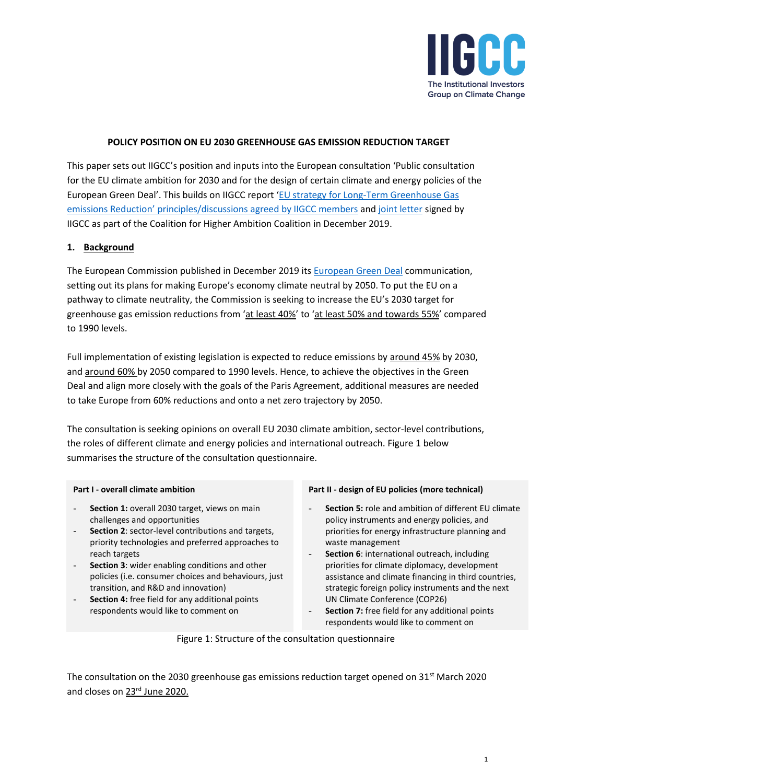

## **POLICY POSITION ON EU 2030 GREENHOUSE GAS EMISSION REDUCTION TARGET**

This paper sets out IIGCC's position and inputs into the European consultation 'Public consultation for the EU climate ambition for 2030 and for the design of certain climate and energy policies of the European Green Deal'. This builds on IIGCC report '[EU strategy for Long-Term Greenhouse Gas](https://www.iigcc.org/resource/iigcc-report-eu-strategy-for-long-term-greenhouse-gas-emissions-reduction/)  emissions Reduction' principles/discussions [agreed by IIGCC members](https://www.iigcc.org/resource/iigcc-report-eu-strategy-for-long-term-greenhouse-gas-emissions-reduction/) an[d joint letter](http://www.caneurope.org/docman/climate-energy-targets/3572-final-letter/file) signed by IIGCC as part of the Coalition for Higher Ambition Coalition in December 2019.

## **1. Background**

The European Commission published in December 2019 its [European Green Deal](https://www.iigcc.org/resource/iigcc-member-update-european-green-deal/) communication, setting out its plans for making Europe's economy climate neutral by 2050. To put the EU on a pathway to climate neutrality, the Commission is seeking to increase the EU's 2030 target for greenhouse gas emission reductions from 'at least 40%' to 'at least 50% and towards 55%' compared to 1990 levels.

Full implementation of existing legislation is expected to reduce emissions by around 45% by 2030, and around 60% by 2050 compared to 1990 levels. Hence, to achieve the objectives in the Green Deal and align more closely with the goals of the Paris Agreement, additional measures are needed to take Europe from 60% reductions and onto a net zero trajectory by 2050.

The consultation is seeking opinions on overall EU 2030 climate ambition, sector-level contributions, the roles of different climate and energy policies and international outreach. Figure 1 below summarises the structure of the consultation questionnaire.

#### **Part I - overall climate ambition**

- Section 1: overall 2030 target, views on main challenges and opportunities
- Section 2: sector-level contributions and targets, priority technologies and preferred approaches to reach targets
- **Section 3**: wider enabling conditions and other policies (i.e. consumer choices and behaviours, just transition, and R&D and innovation)
- Section 4: free field for any additional points respondents would like to comment on

#### **Part II - design of EU policies (more technical)**

- **Section 5: role and ambition of different EU climate** policy instruments and energy policies, and priorities for energy infrastructure planning and waste management
- **Section 6**: international outreach, including priorities for climate diplomacy, development assistance and climate financing in third countries, strategic foreign policy instruments and the next UN Climate Conference (COP26)
- Section 7: free field for any additional points respondents would like to comment on

Figure 1: Structure of the consultation questionnaire

The consultation on the 2030 greenhouse gas emissions reduction target opened on 31<sup>st</sup> March 2020 and closes on 23rd June 2020.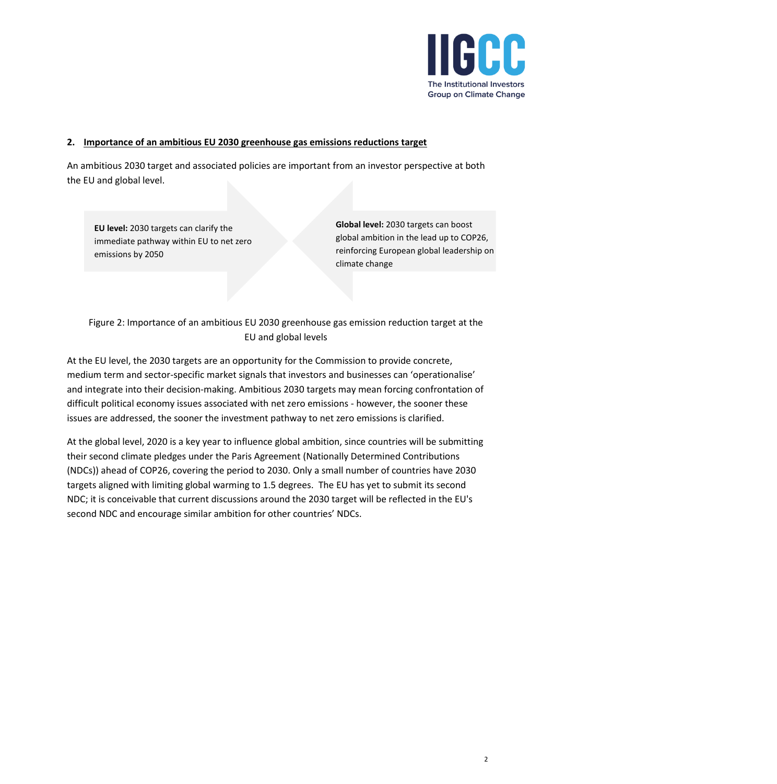

## **2. Importance of an ambitious EU 2030 greenhouse gas emissions reductions target**

An ambitious 2030 target and associated policies are important from an investor perspective at both the EU and global level.

**EU level:** 2030 targets can clarify the immediate pathway within EU to net zero emissions by 2050

**Global level:** 2030 targets can boost global ambition in the lead up to COP26, reinforcing European global leadership on climate change

Figure 2: Importance of an ambitious EU 2030 greenhouse gas emission reduction target at the EU and global levels

At the EU level, the 2030 targets are an opportunity for the Commission to provide concrete, medium term and sector-specific market signals that investors and businesses can 'operationalise' and integrate into their decision-making. Ambitious 2030 targets may mean forcing confrontation of difficult political economy issues associated with net zero emissions - however, the sooner these issues are addressed, the sooner the investment pathway to net zero emissions is clarified.

At the global level, 2020 is a key year to influence global ambition, since countries will be submitting their second climate pledges under the Paris Agreement (Nationally Determined Contributions (NDCs)) ahead of COP26, covering the period to 2030. Only a small number of countries have 2030 targets aligned with limiting global warming to 1.5 degrees. The EU has yet to submit its second NDC; it is conceivable that current discussions around the 2030 target will be reflected in the EU's second NDC and encourage similar ambition for other countries' NDCs.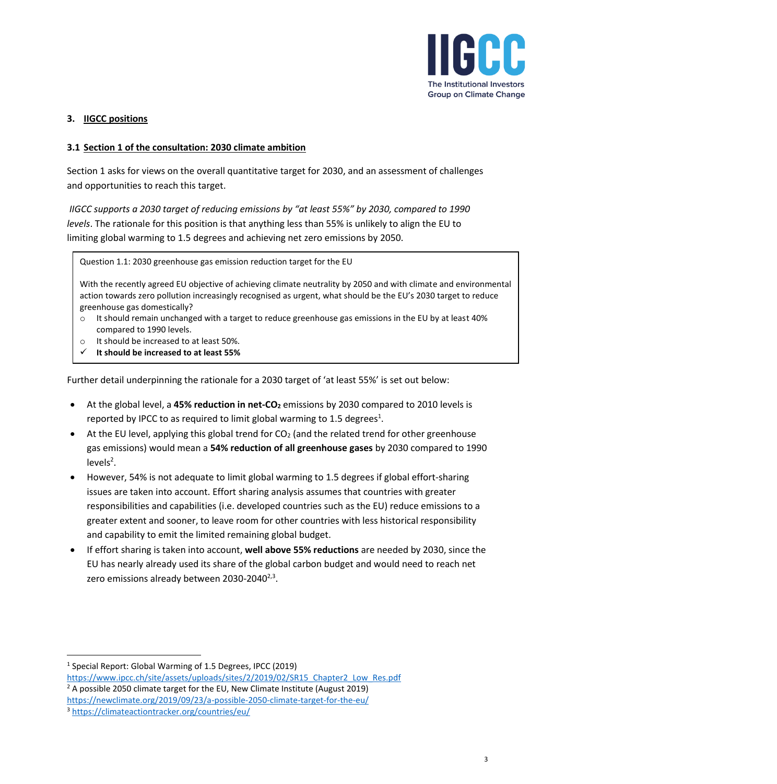

# **3. IIGCC positions**

## **3.1 Section 1 of the consultation: 2030 climate ambition**

Section 1 asks for views on the overall quantitative target for 2030, and an assessment of challenges and opportunities to reach this target.

*IIGCC supports a 2030 target of reducing emissions by "at least 55%" by 2030, compared to 1990 levels*. The rationale for this position is that anything less than 55% is unlikely to align the EU to limiting global warming to 1.5 degrees and achieving net zero emissions by 2050.

Question 1.1: 2030 greenhouse gas emission reduction target for the EU

With the recently agreed EU objective of achieving climate neutrality by 2050 and with climate and environmental action towards zero pollution increasingly recognised as urgent, what should be the EU's 2030 target to reduce greenhouse gas domestically?

- $\circ$  It should remain unchanged with a target to reduce greenhouse gas emissions in the EU by at least 40% compared to 1990 levels.
- o It should be increased to at least 50%.
- ✓ **It should be increased to at least 55%**

Further detail underpinning the rationale for a 2030 target of 'at least 55%' is set out below:

- At the global level, a **45% reduction in net-CO<sup>2</sup>** emissions by 2030 compared to 2010 levels is reported by IPCC to as required to limit global warming to 1.5 degrees<sup>1</sup>.
- At the EU level, applying this global trend for  $CO<sub>2</sub>$  (and the related trend for other greenhouse gas emissions) would mean a **54% reduction of all greenhouse gases** by 2030 compared to 1990  $levels<sup>2</sup>$ .
- <span id="page-2-0"></span>• However, 54% is not adequate to limit global warming to 1.5 degrees if global effort-sharing issues are taken into account. Effort sharing analysis assumes that countries with greater responsibilities and capabilities (i.e. developed countries such as the EU) reduce emissions to a greater extent and sooner, to leave room for other countries with less historical responsibility and capability to emit the limited remaining global budget.
- If effort sharing is taken into account, **well above 55% reductions** are needed by 2030, since the EU has nearly already used its share of the global carbon budget and would need to reach net zero emissions already between 2030-2040<sup>[2,3](#page-2-0)</sup>.

<sup>&</sup>lt;sup>1</sup> Special Report: Global Warming of 1.5 Degrees, IPCC (2019)

[https://www.ipcc.ch/site/assets/uploads/sites/2/2019/02/SR15\\_Chapter2\\_Low\\_Res.pdf](https://www.ipcc.ch/site/assets/uploads/sites/2/2019/02/SR15_Chapter2_Low_Res.pdf)

 $2$  A possible 2050 climate target for the EU, New Climate Institute (August 2019)

<https://newclimate.org/2019/09/23/a-possible-2050-climate-target-for-the-eu/>

<sup>3</sup> <https://climateactiontracker.org/countries/eu/>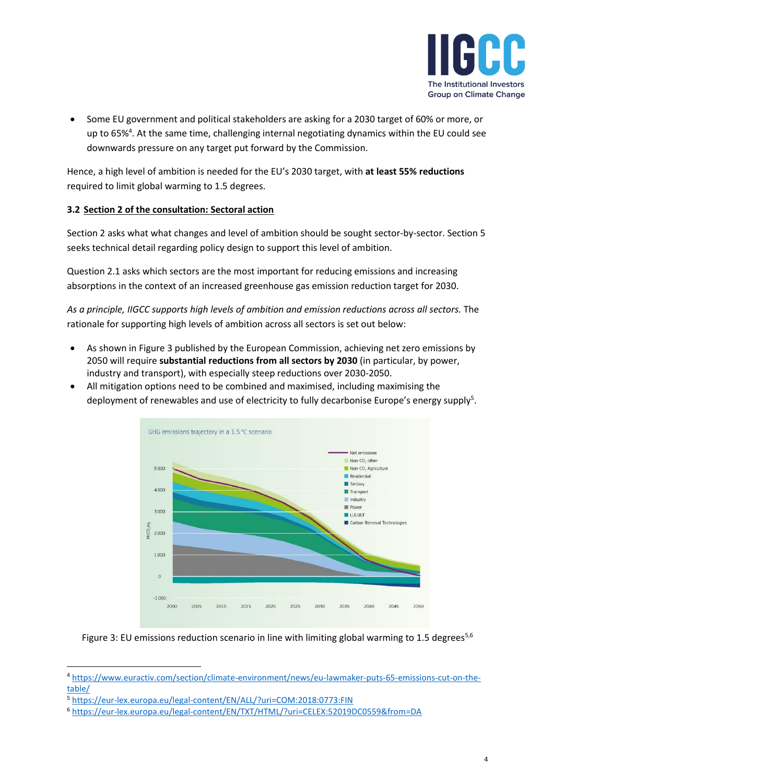

• Some EU government and political stakeholders are asking for a 2030 target of 60% or more, or up to 65%<sup>4</sup>. At the same time, challenging internal negotiating dynamics within the EU could see downwards pressure on any target put forward by the Commission.

Hence, a high level of ambition is needed for the EU's 2030 target, with **at least 55% reductions** required to limit global warming to 1.5 degrees.

# **3.2 Section 2 of the consultation: Sectoral action**

Section 2 asks what what changes and level of ambition should be sought sector-by-sector. Section 5 seeks technical detail regarding policy design to support this level of ambition.

Question 2.1 asks which sectors are the most important for reducing emissions and increasing absorptions in the context of an increased greenhouse gas emission reduction target for 2030.

*As a principle, IIGCC supports high levels of ambition and emission reductions across all sectors.* The rationale for supporting high levels of ambition across all sectors is set out below:

- As shown in Figure 3 published by the European Commission, achieving net zero emissions by 2050 will require **substantial reductions from all sectors by 2030** (in particular, by power, industry and transport), with especially steep reductions over 2030-2050.
- All mitigation options need to be combined and maximised, including maximising the deployment of renewables and use of electricity to fully decarbonise Europe's energy supply<sup>5</sup>.

<span id="page-3-0"></span>

<span id="page-3-1"></span>Figure 3: EU emissions reduction scenario in line with limiting global warming to 1.5 degrees<sup>[5,](#page-3-0)6</sup>

<sup>4</sup> [https://www.euractiv.com/section/climate-environment/news/eu-lawmaker-puts-65-emissions-cut-on-the](https://www.euractiv.com/section/climate-environment/news/eu-lawmaker-puts-65-emissions-cut-on-the-table/)[table/](https://www.euractiv.com/section/climate-environment/news/eu-lawmaker-puts-65-emissions-cut-on-the-table/)

<sup>5</sup> <https://eur-lex.europa.eu/legal-content/EN/ALL/?uri=COM:2018:0773:FIN>

<sup>6</sup> <https://eur-lex.europa.eu/legal-content/EN/TXT/HTML/?uri=CELEX:52019DC0559&from=DA>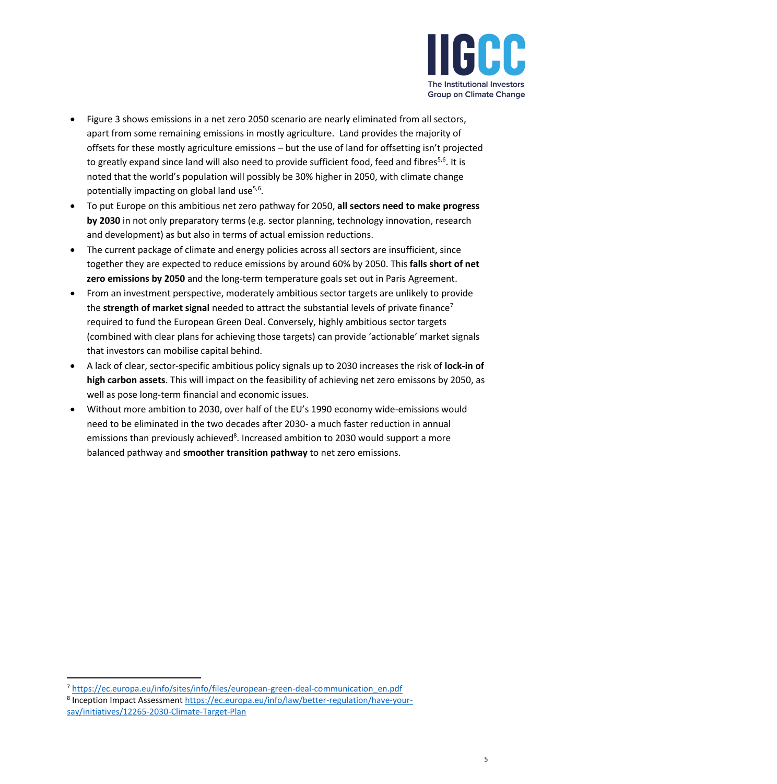

- Figure 3 shows emissions in a net zero 2050 scenario are nearly eliminated from all sectors, apart from some remaining emissions in mostly agriculture. Land provides the majority of offsets for these mostly agriculture emissions – but the use of land for offsetting isn't projected to greatly expand since land will also need to provide sufficient food, feed and fibres<sup>[5,](#page-3-0)[6](#page-3-1)</sup>. It is noted that the world's population will possibly be 30% higher in 2050, with climate change potentially impacting on global land use<sup>[5,](#page-3-0)[6](#page-3-1)</sup>.
- To put Europe on this ambitious net zero pathway for 2050, **all sectors need to make progress by 2030** in not only preparatory terms (e.g. sector planning, technology innovation, research and development) as but also in terms of actual emission reductions.
- The current package of climate and energy policies across all sectors are insufficient, since together they are expected to reduce emissions by around 60% by 2050. This **falls short of net zero emissions by 2050** and the long-term temperature goals set out in Paris Agreement.
- From an investment perspective, moderately ambitious sector targets are unlikely to provide the **strength of market signal** needed to attract the substantial levels of private finance<sup>7</sup> required to fund the European Green Deal. Conversely, highly ambitious sector targets (combined with clear plans for achieving those targets) can provide 'actionable' market signals that investors can mobilise capital behind.
- A lack of clear, sector-specific ambitious policy signals up to 2030 increases the risk of **lock-in of high carbon assets**. This will impact on the feasibility of achieving net zero emissons by 2050, as well as pose long-term financial and economic issues.
- Without more ambition to 2030, over half of the EU's 1990 economy wide-emissions would need to be eliminated in the two decades after 2030- a much faster reduction in annual emissions than previously achieved<sup>8</sup>. Increased ambition to 2030 would support a more balanced pathway and **smoother transition pathway** to net zero emissions.

<sup>7</sup> [https://ec.europa.eu/info/sites/info/files/european-green-deal-communication\\_en.pdf](https://ec.europa.eu/info/sites/info/files/european-green-deal-communication_en.pdf)

<sup>&</sup>lt;sup>8</sup> Inception Impact Assessment [https://ec.europa.eu/info/law/better-regulation/have-your](https://ec.europa.eu/info/law/better-regulation/have-your-say/initiatives/12265-2030-Climate-Target-Plan)[say/initiatives/12265-2030-Climate-Target-Plan](https://ec.europa.eu/info/law/better-regulation/have-your-say/initiatives/12265-2030-Climate-Target-Plan)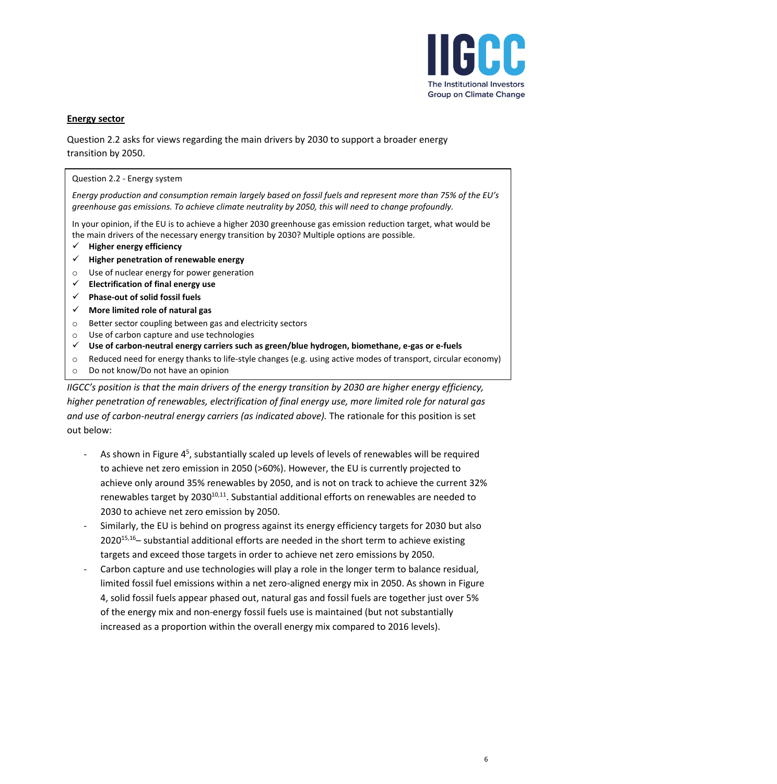

## **Energy sector**

Question 2.2 asks for views regarding the main drivers by 2030 to support a broader energy transition by 2050.

### Question 2.2 - Energy system

*Energy production and consumption remain largely based on fossil fuels and represent more than 75% of the EU's greenhouse gas emissions. To achieve climate neutrality by 2050, this will need to change profoundly.*

In your opinion, if the EU is to achieve a higher 2030 greenhouse gas emission reduction target, what would be the main drivers of the necessary energy transition by 2030? Multiple options are possible.

- ✓ **Higher energy efficiency**
- ✓ **Higher penetration of renewable energy**
- o Use of nuclear energy for power generation
- ✓ **Electrification of final energy use**
- ✓ **Phase-out of solid fossil fuels**
- ✓ **More limited role of natural gas**
- o Better sector coupling between gas and electricity sectors
- o Use of carbon capture and use technologies
- ✓ **Use of carbon-neutral energy carriers such as green/blue hydrogen, biomethane, e-gas or e-fuels**
- o Reduced need for energy thanks to life-style changes (e.g. using active modes of transport, circular economy)
- o Do not know/Do not have an opinion

*IIGCC's position is that the main drivers of the energy transition by 2030 are higher energy efficiency, higher penetration of renewables, electrification of final energy use, more limited role for natural gas and use of carbon-neutral energy carriers (as indicated above).* The rationale for this position is set out below:

- As shown in Figure 4<sup>5</sup>[,](#page-3-0) substantially scaled up levels of levels of renewables will be required to achieve net zero emission in 2050 (>60%). However, the EU is currently projected to achieve only around 35% renewables by 2050, and is not on track to achieve the current 32% renewables target by  $2030^{10,11}$  $2030^{10,11}$  $2030^{10,11}$  $2030^{10,11}$ . Substantial additional efforts on renewables are needed to 2030 to achieve net zero emission by 2050.
- Similarly, the EU is behind on progress against its energy efficiency targets for 2030 but also  $2020^{15,16}$  $2020^{15,16}$  $2020^{15,16}$  $2020^{15,16}$  substantial additional efforts are needed in the short term to achieve existing targets and exceed those targets in order to achieve net zero emissions by 2050.
- Carbon capture and use technologies will play a role in the longer term to balance residual, limited fossil fuel emissions within a net zero-aligned energy mix in 2050. As shown in Figure 4, solid fossil fuels appear phased out, natural gas and fossil fuels are together just over 5% of the energy mix and non-energy fossil fuels use is maintained (but not substantially increased as a proportion within the overall energy mix compared to 2016 levels).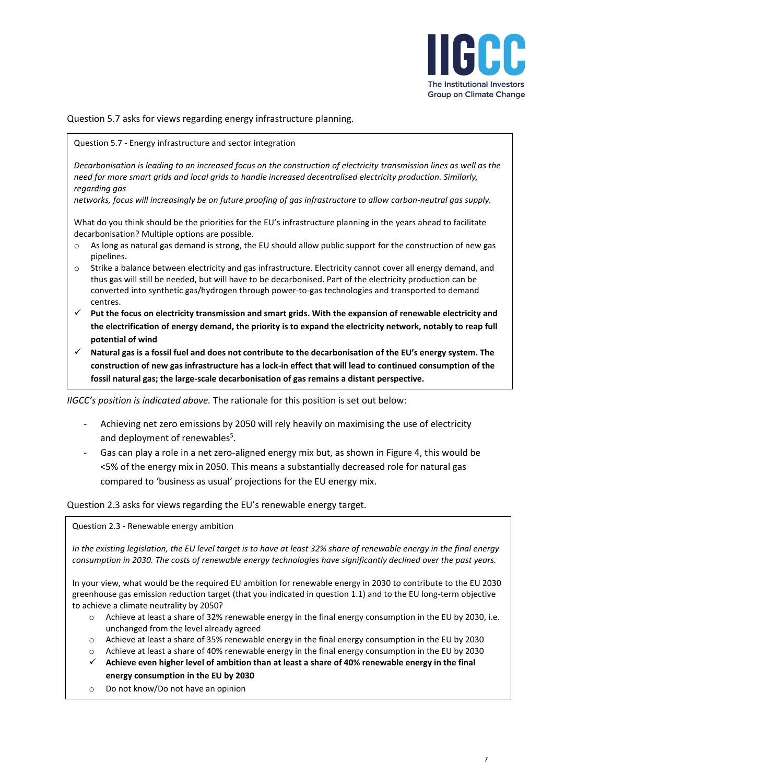

Question 5.7 asks for views regarding energy infrastructure planning.

Question 5.7 - Energy infrastructure and sector integration

*Decarbonisation is leading to an increased focus on the construction of electricity transmission lines as well as the need for more smart grids and local grids to handle increased decentralised electricity production. Similarly, regarding gas*

*networks, focus will increasingly be on future proofing of gas infrastructure to allow carbon-neutral gas supply.*

What do you think should be the priorities for the EU's infrastructure planning in the years ahead to facilitate decarbonisation? Multiple options are possible.

- o As long as natural gas demand is strong, the EU should allow public support for the construction of new gas pipelines.
- o Strike a balance between electricity and gas infrastructure. Electricity cannot cover all energy demand, and thus gas will still be needed, but will have to be decarbonised. Part of the electricity production can be converted into synthetic gas/hydrogen through power-to-gas technologies and transported to demand centres.
- ✓ **Put the focus on electricity transmission and smart grids. With the expansion of renewable electricity and the electrification of energy demand, the priority is to expand the electricity network, notably to reap full potential of wind**
- ✓ **Natural gas is a fossil fuel and does not contribute to the decarbonisation of the EU's energy system. The construction of new gas infrastructure has a lock-in effect that will lead to continued consumption of the fossil natural gas; the large-scale decarbonisation of gas remains a distant perspective.**

*IIGCC's position is indicated above.* The rationale for this position is set out below:

- Achieving net zero emissions by 2050 will rely heavily on maximising the use of electricity and deployment of renewable[s](#page-3-0)<sup>5</sup>.
- Gas can play a role in a net zero-aligned energy mix but, as shown in Figure 4, this would be <5% of the energy mix in 2050. This means a substantially decreased role for natural gas compared to 'business as usual' projections for the EU energy mix.

Question 2.3 asks for views regarding the EU's renewable energy target.

Question 2.3 - Renewable energy ambition

*In the existing legislation, the EU level target is to have at least 32% share of renewable energy in the final energy consumption in 2030. The costs of renewable energy technologies have significantly declined over the past years.*

In your view, what would be the required EU ambition for renewable energy in 2030 to contribute to the EU 2030 greenhouse gas emission reduction target (that you indicated in question 1.1) and to the EU long-term objective to achieve a climate neutrality by 2050?

- $\circ$  Achieve at least a share of 32% renewable energy in the final energy consumption in the EU by 2030, i.e. unchanged from the level already agreed
- o Achieve at least a share of 35% renewable energy in the final energy consumption in the EU by 2030
- o Achieve at least a share of 40% renewable energy in the final energy consumption in the EU by 2030
- ✓ **Achieve even higher level of ambition than at least a share of 40% renewable energy in the final energy consumption in the EU by 2030**
- o Do not know/Do not have an opinion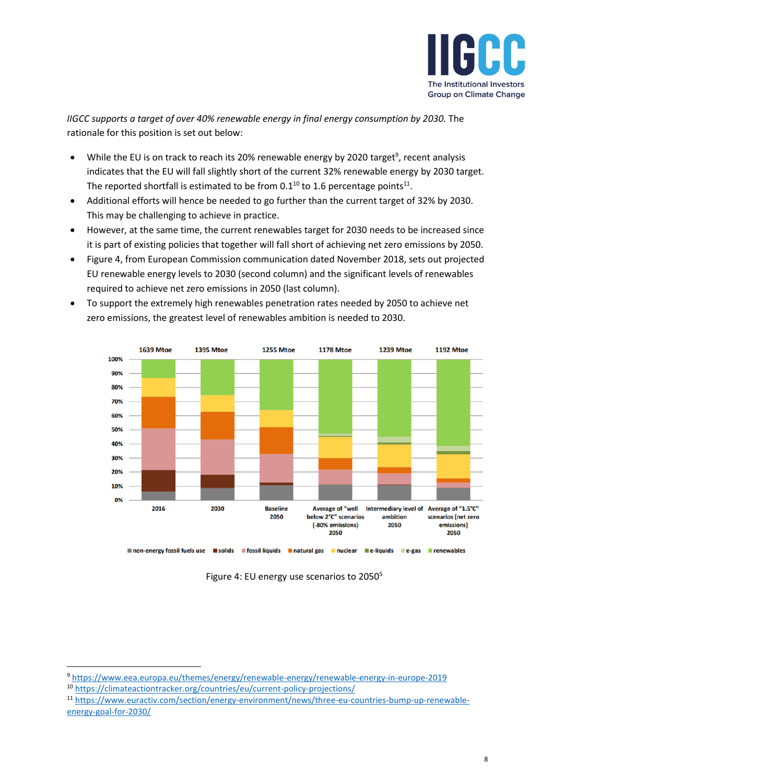<span id="page-7-1"></span><span id="page-7-0"></span>

*IIGCC supports a target of over 40% renewable energy in final energy consumption by 2030.* The rationale for this position is set out below:

- While the EU is on track to reach its 20% renewable energy by 2020 target<sup>9</sup>, recent analysis indicates that the EU will fall slightly short of the current 32% renewable energy by 2030 target. The reported shortfall is estimated to be from 0.1<sup>10</sup> to 1.6 percentage points<sup>11</sup>.
- Additional efforts will hence be needed to go further than the current target of 32% by 2030. This may be challenging to achieve in practice.
- However, at the same time, the current renewables target for 2030 needs to be increased since it is part of existing policies that together will fall short of achieving net zero emissions by 2050.
- Figure 4, from European Commission communication dated November 2018, sets out projected EU renewable energy levels to 2030 (second column) and the significant levels of renewables required to achieve net zero emissions in 2050 (last column).
- To support the extremely high renewables penetration rates needed by 2050 to achieve net zero emissions, the greatest level of renewables ambition is needed to 2030.



Figure 4: EU energy use scenarios to 205[0](#page-3-0)<sup>5</sup>

<sup>9</sup> <https://www.eea.europa.eu/themes/energy/renewable-energy/renewable-energy-in-europe-2019>

<sup>10</sup> <https://climateactiontracker.org/countries/eu/current-policy-projections/>

<sup>11</sup> [https://www.euractiv.com/section/energy-environment/news/three-eu-countries-bump-up-renewable](https://www.euractiv.com/section/energy-environment/news/three-eu-countries-bump-up-renewable-energy-goal-for-2030/)[energy-goal-for-2030/](https://www.euractiv.com/section/energy-environment/news/three-eu-countries-bump-up-renewable-energy-goal-for-2030/)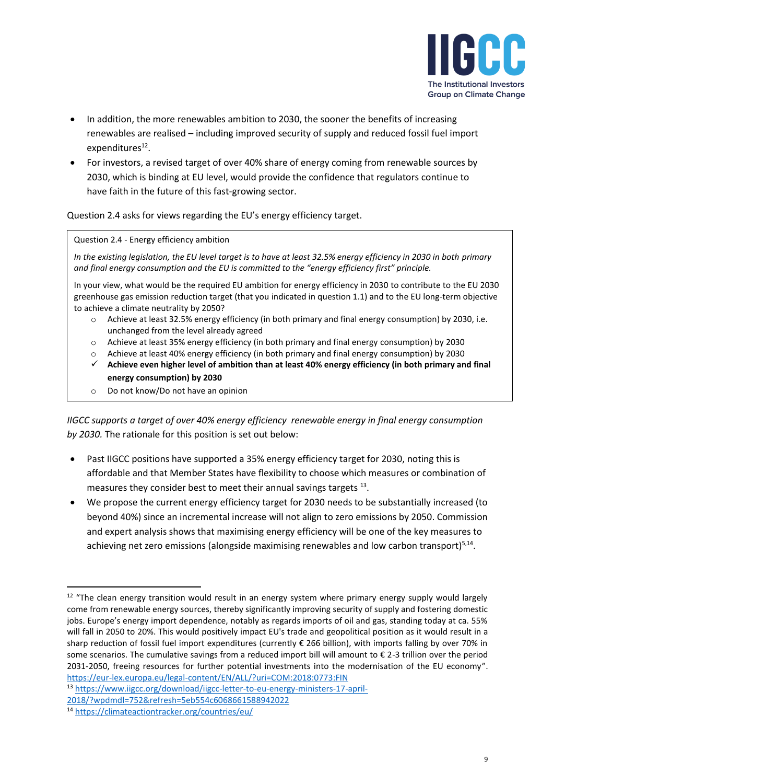

- In addition, the more renewables ambition to 2030, the sooner the benefits of increasing renewables are realised – including improved security of supply and reduced fossil fuel import expenditures<sup>12</sup>.
- For investors, a revised target of over 40% share of energy coming from renewable sources by 2030, which is binding at EU level, would provide the confidence that regulators continue to have faith in the future of this fast-growing sector.

Question 2.4 asks for views regarding the EU's energy efficiency target.

### Question 2.4 - Energy efficiency ambition

*In the existing legislation, the EU level target is to have at least 32.5% energy efficiency in 2030 in both primary and final energy consumption and the EU is committed to the "energy efficiency first" principle.*

In your view, what would be the required EU ambition for energy efficiency in 2030 to contribute to the EU 2030 greenhouse gas emission reduction target (that you indicated in question 1.1) and to the EU long-term objective to achieve a climate neutrality by 2050?

- o Achieve at least 32.5% energy efficiency (in both primary and final energy consumption) by 2030, i.e. unchanged from the level already agreed
- o Achieve at least 35% energy efficiency (in both primary and final energy consumption) by 2030
- o Achieve at least 40% energy efficiency (in both primary and final energy consumption) by 2030
- ✓ **Achieve even higher level of ambition than at least 40% energy efficiency (in both primary and final energy consumption) by 2030**
- o Do not know/Do not have an opinion

*IIGCC supports a target of over 40% energy efficiency renewable energy in final energy consumption by 2030.* The rationale for this position is set out below:

- Past IIGCC positions have supported a 35% energy efficiency target for 2030, noting this is affordable and that Member States have flexibility to choose which measures or combination of measures they consider best to meet their annual savings targets  $^{13}$ .
- We propose the current energy efficiency target for 2030 needs to be substantially increased (to beyond 40%) since an incremental increase will not align to zero emissions by 2050. Commission and expert analysis shows that maximising energy efficiency will be one of the key measures to achieving net zero emissions (alongside maximising renewables and low carbon transport)<sup>[5,1](#page-3-0)4</sup>.

<sup>&</sup>lt;sup>12</sup> "The clean energy transition would result in an energy system where primary energy supply would largely come from renewable energy sources, thereby significantly improving security of supply and fostering domestic jobs. Europe's energy import dependence, notably as regards imports of oil and gas, standing today at ca. 55% will fall in 2050 to 20%. This would positively impact EU's trade and geopolitical position as it would result in a sharp reduction of fossil fuel import expenditures (currently € 266 billion), with imports falling by over 70% in some scenarios. The cumulative savings from a reduced import bill will amount to  $\epsilon$  2-3 trillion over the period 2031-2050, freeing resources for further potential investments into the modernisation of the EU economy". <https://eur-lex.europa.eu/legal-content/EN/ALL/?uri=COM:2018:0773:FIN>

<sup>13</sup> [https://www.iigcc.org/download/iigcc-letter-to-eu-energy-ministers-17-april-](https://www.iigcc.org/download/iigcc-letter-to-eu-energy-ministers-17-april-2018/?wpdmdl=752&refresh=5eb554c6068661588942022)

[<sup>2018/?</sup>wpdmdl=752&refresh=5eb554c6068661588942022](https://www.iigcc.org/download/iigcc-letter-to-eu-energy-ministers-17-april-2018/?wpdmdl=752&refresh=5eb554c6068661588942022)

<sup>14</sup> <https://climateactiontracker.org/countries/eu/>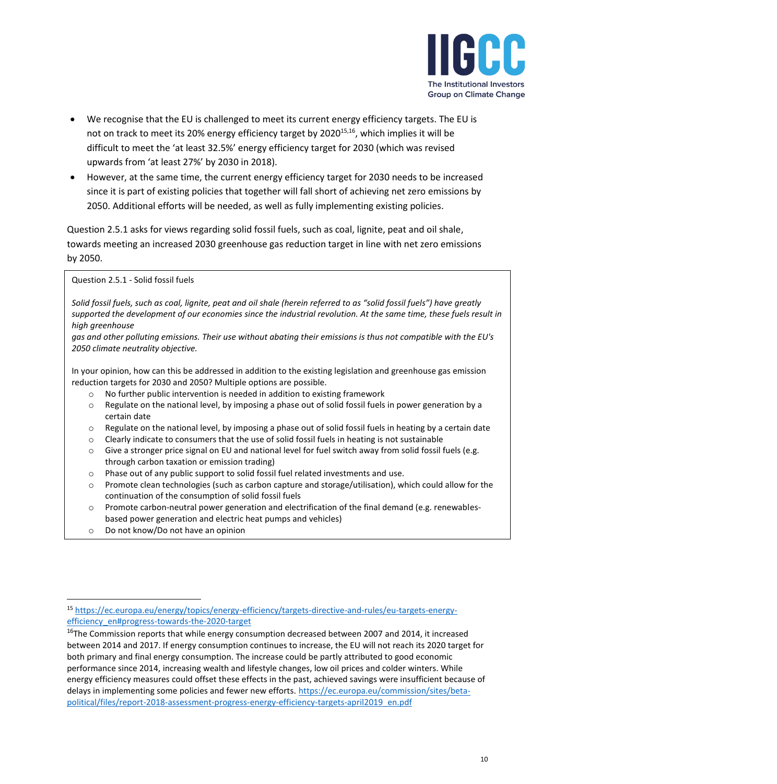<span id="page-9-1"></span><span id="page-9-0"></span>

- We recognise that the EU is challenged to meet its current energy efficiency targets. The EU is not on track to meet its 20% energy efficiency target by 2020<sup>15,16</sup>, which implies it will be difficult to meet the 'at least 32.5%' energy efficiency target for 2030 (which was revised upwards from 'at least 27%' by 2030 in 2018).
- However, at the same time, the current energy efficiency target for 2030 needs to be increased since it is part of existing policies that together will fall short of achieving net zero emissions by 2050. Additional efforts will be needed, as well as fully implementing existing policies.

Question 2.5.1 asks for views regarding solid fossil fuels, such as coal, lignite, peat and oil shale, towards meeting an increased 2030 greenhouse gas reduction target in line with net zero emissions by 2050.

Question 2.5.1 - Solid fossil fuels

*Solid fossil fuels, such as coal, lignite, peat and oil shale (herein referred to as "solid fossil fuels") have greatly supported the development of our economies since the industrial revolution. At the same time, these fuels result in high greenhouse*

*gas and other polluting emissions. Their use without abating their emissions is thus not compatible with the EU's 2050 climate neutrality objective.*

In your opinion, how can this be addressed in addition to the existing legislation and greenhouse gas emission reduction targets for 2030 and 2050? Multiple options are possible.

- $\circ$  No further public intervention is needed in addition to existing framework
- $\circ$  Regulate on the national level, by imposing a phase out of solid fossil fuels in power generation by a certain date
- $\circ$  Regulate on the national level, by imposing a phase out of solid fossil fuels in heating by a certain date
- $\circ$  Clearly indicate to consumers that the use of solid fossil fuels in heating is not sustainable
- o Give a stronger price signal on EU and national level for fuel switch away from solid fossil fuels (e.g. through carbon taxation or emission trading)
- o Phase out of any public support to solid fossil fuel related investments and use.
- $\circ$  Promote clean technologies (such as carbon capture and storage/utilisation), which could allow for the continuation of the consumption of solid fossil fuels
- o Promote carbon-neutral power generation and electrification of the final demand (e.g. renewablesbased power generation and electric heat pumps and vehicles)
- o Do not know/Do not have an opinion

<sup>15</sup> [https://ec.europa.eu/energy/topics/energy-efficiency/targets-directive-and-rules/eu-targets-energy](https://ec.europa.eu/energy/topics/energy-efficiency/targets-directive-and-rules/eu-targets-energy-efficiency_en#progress-towards-the-2020-target)[efficiency\\_en#progress-towards-the-2020-target](https://ec.europa.eu/energy/topics/energy-efficiency/targets-directive-and-rules/eu-targets-energy-efficiency_en#progress-towards-the-2020-target)

<sup>&</sup>lt;sup>16</sup>The Commission reports that while energy consumption decreased between 2007 and 2014, it increased between 2014 and 2017. If energy consumption continues to increase, the EU will not reach its 2020 target for both primary and final energy consumption. The increase could be partly attributed to good economic performance since 2014, increasing wealth and lifestyle changes, low oil prices and colder winters. While energy efficiency measures could offset these effects in the past, achieved savings were insufficient because of delays in implementing some policies and fewer new efforts. [https://ec.europa.eu/commission/sites/beta](https://ec.europa.eu/commission/sites/beta-political/files/report-2018-assessment-progress-energy-efficiency-targets-april2019_en.pdf)[political/files/report-2018-assessment-progress-energy-efficiency-targets-april2019\\_en.pdf](https://ec.europa.eu/commission/sites/beta-political/files/report-2018-assessment-progress-energy-efficiency-targets-april2019_en.pdf)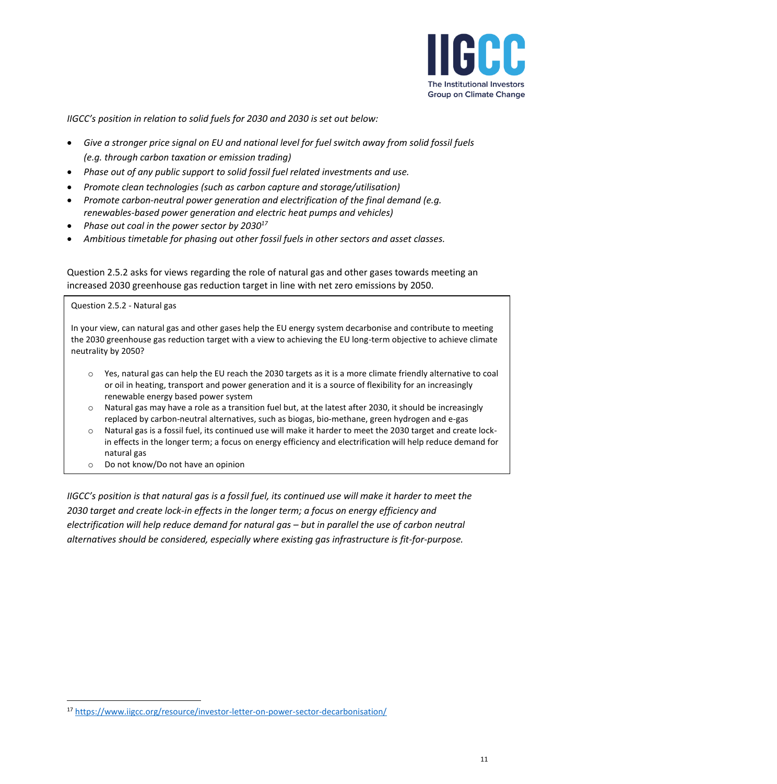

*IIGCC's position in relation to solid fuels for 2030 and 2030 is set out below:*

- *Give a stronger price signal on EU and national level for fuel switch away from solid fossil fuels (e.g. through carbon taxation or emission trading)*
- *Phase out of any public support to solid fossil fuel related investments and use.*
- *Promote clean technologies (such as carbon capture and storage/utilisation)*
- *Promote carbon-neutral power generation and electrification of the final demand (e.g. renewables-based power generation and electric heat pumps and vehicles)*
- *Phase out coal in the power sector by 2030<sup>17</sup>*
- *Ambitious timetable for phasing out other fossil fuels in other sectors and asset classes.*

Question 2.5.2 asks for views regarding the role of natural gas and other gases towards meeting an increased 2030 greenhouse gas reduction target in line with net zero emissions by 2050.

#### Question 2.5.2 - Natural gas

In your view, can natural gas and other gases help the EU energy system decarbonise and contribute to meeting the 2030 greenhouse gas reduction target with a view to achieving the EU long-term objective to achieve climate neutrality by 2050?

- o Yes, natural gas can help the EU reach the 2030 targets as it is a more climate friendly alternative to coal or oil in heating, transport and power generation and it is a source of flexibility for an increasingly renewable energy based power system
- o Natural gas may have a role as a transition fuel but, at the latest after 2030, it should be increasingly replaced by carbon-neutral alternatives, such as biogas, bio-methane, green hydrogen and e-gas
- o Natural gas is a fossil fuel, its continued use will make it harder to meet the 2030 target and create lockin effects in the longer term; a focus on energy efficiency and electrification will help reduce demand for natural gas
- o Do not know/Do not have an opinion

*IIGCC's position is that natural gas is a fossil fuel, its continued use will make it harder to meet the 2030 target and create lock-in effects in the longer term; a focus on energy efficiency and electrification will help reduce demand for natural gas – but in parallel the use of carbon neutral alternatives should be considered, especially where existing gas infrastructure is fit-for-purpose.* 

<sup>17</sup> <https://www.iigcc.org/resource/investor-letter-on-power-sector-decarbonisation/>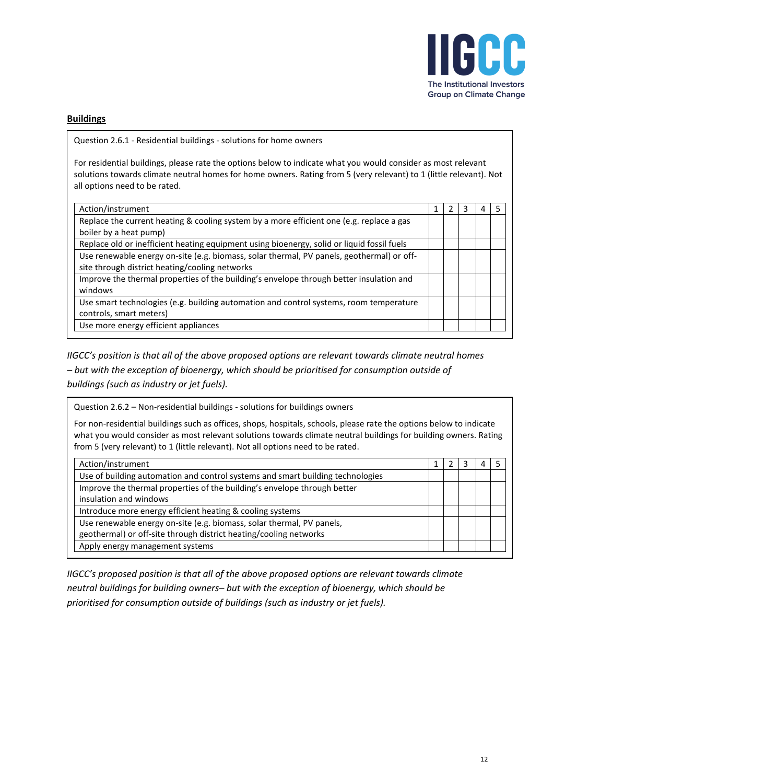

# **Buildings**

Question 2.6.1 - Residential buildings - solutions for home owners

For residential buildings, please rate the options below to indicate what you would consider as most relevant solutions towards climate neutral homes for home owners. Rating from 5 (very relevant) to 1 (little relevant). Not all options need to be rated.

| Action/instrument                                                                          |  | 3 | 4 |  |
|--------------------------------------------------------------------------------------------|--|---|---|--|
| Replace the current heating & cooling system by a more efficient one (e.g. replace a gas   |  |   |   |  |
| boiler by a heat pump)                                                                     |  |   |   |  |
| Replace old or inefficient heating equipment using bioenergy, solid or liquid fossil fuels |  |   |   |  |
| Use renewable energy on-site (e.g. biomass, solar thermal, PV panels, geothermal) or off-  |  |   |   |  |
| site through district heating/cooling networks                                             |  |   |   |  |
| Improve the thermal properties of the building's envelope through better insulation and    |  |   |   |  |
| windows                                                                                    |  |   |   |  |
| Use smart technologies (e.g. building automation and control systems, room temperature     |  |   |   |  |
| controls, smart meters)                                                                    |  |   |   |  |
| Use more energy efficient appliances                                                       |  |   |   |  |

*IIGCC's position is that all of the above proposed options are relevant towards climate neutral homes* 

*– but with the exception of bioenergy, which should be prioritised for consumption outside of buildings (such as industry or jet fuels).*

| Question 2.6.2 – Non-residential buildings - solutions for buildings owners                                                                                                                                                                                                                                                 |   |   |   |   |  |  |  |  |
|-----------------------------------------------------------------------------------------------------------------------------------------------------------------------------------------------------------------------------------------------------------------------------------------------------------------------------|---|---|---|---|--|--|--|--|
| For non-residential buildings such as offices, shops, hospitals, schools, please rate the options below to indicate<br>what you would consider as most relevant solutions towards climate neutral buildings for building owners. Rating<br>from 5 (very relevant) to 1 (little relevant). Not all options need to be rated. |   |   |   |   |  |  |  |  |
| Action/instrument                                                                                                                                                                                                                                                                                                           | 1 | 2 | 3 | 4 |  |  |  |  |
| Use of building automation and control systems and smart building technologies                                                                                                                                                                                                                                              |   |   |   |   |  |  |  |  |
| Improve the thermal properties of the building's envelope through better                                                                                                                                                                                                                                                    |   |   |   |   |  |  |  |  |
| insulation and windows                                                                                                                                                                                                                                                                                                      |   |   |   |   |  |  |  |  |
| Introduce more energy efficient heating & cooling systems                                                                                                                                                                                                                                                                   |   |   |   |   |  |  |  |  |
| Use renewable energy on-site (e.g. biomass, solar thermal, PV panels,                                                                                                                                                                                                                                                       |   |   |   |   |  |  |  |  |
| geothermal) or off-site through district heating/cooling networks                                                                                                                                                                                                                                                           |   |   |   |   |  |  |  |  |
| Apply energy management systems                                                                                                                                                                                                                                                                                             |   |   |   |   |  |  |  |  |

*IIGCC's proposed position is that all of the above proposed options are relevant towards climate neutral buildings for building owners– but with the exception of bioenergy, which should be prioritised for consumption outside of buildings (such as industry or jet fuels).*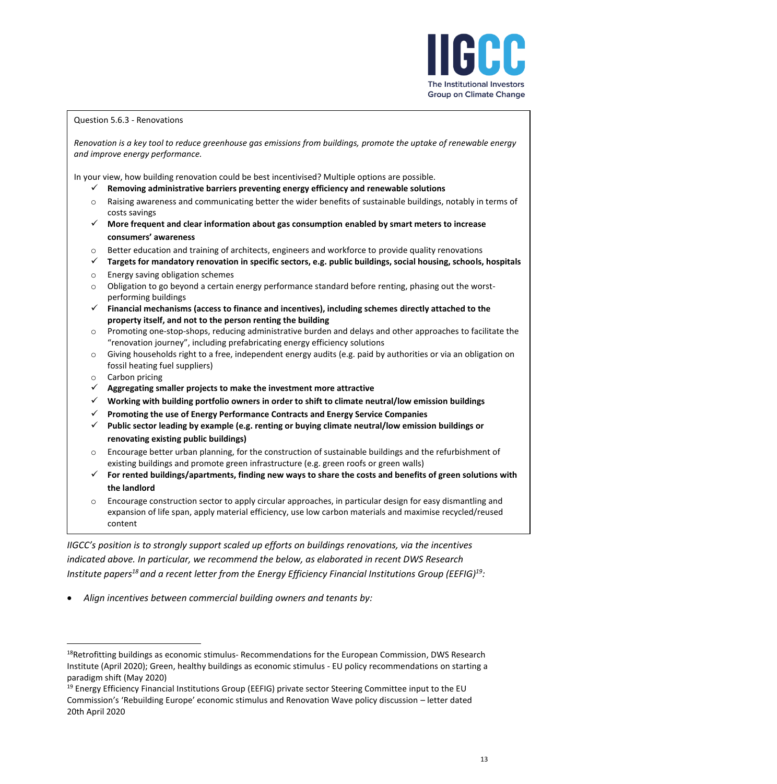

### Question 5.6.3 - Renovations

*Renovation is a key tool to reduce greenhouse gas emissions from buildings, promote the uptake of renewable energy and improve energy performance.*

In your view, how building renovation could be best incentivised? Multiple options are possible.

- ✓ **Removing administrative barriers preventing energy efficiency and renewable solutions**
- o Raising awareness and communicating better the wider benefits of sustainable buildings, notably in terms of costs savings
- ✓ **More frequent and clear information about gas consumption enabled by smart meters to increase consumers' awareness**
- $\circ$  Better education and training of architects, engineers and workforce to provide quality renovations
- ✓ **Targets for mandatory renovation in specific sectors, e.g. public buildings, social housing, schools, hospitals**
- o Energy saving obligation schemes
- $\circ$  Obligation to go beyond a certain energy performance standard before renting, phasing out the worstperforming buildings
- ✓ **Financial mechanisms (access to finance and incentives), including schemes directly attached to the property itself, and not to the person renting the building**
- o Promoting one-stop-shops, reducing administrative burden and delays and other approaches to facilitate the "renovation journey", including prefabricating energy efficiency solutions
- $\circ$  Giving households right to a free, independent energy audits (e.g. paid by authorities or via an obligation on fossil heating fuel suppliers)
- o Carbon pricing
- ✓ **Aggregating smaller projects to make the investment more attractive**
- ✓ **Working with building portfolio owners in order to shift to climate neutral/low emission buildings**
- ✓ **Promoting the use of Energy Performance Contracts and Energy Service Companies**
- ✓ **Public sector leading by example (e.g. renting or buying climate neutral/low emission buildings or renovating existing public buildings)**
- $\circ$  Encourage better urban planning, for the construction of sustainable buildings and the refurbishment of existing buildings and promote green infrastructure (e.g. green roofs or green walls)
- ✓ **For rented buildings/apartments, finding new ways to share the costs and benefits of green solutions with the landlord**
- $\circ$  Encourage construction sector to apply circular approaches, in particular design for easy dismantling and expansion of life span, apply material efficiency, use low carbon materials and maximise recycled/reused content

*IIGCC's position is to strongly support scaled up efforts on buildings renovations, via the incentives indicated above. In particular, we recommend the below, as elaborated in recent DWS Research Institute papers <sup>18</sup> and a recent letter from the Energy Efficiency Financial Institutions Group (EEFIG)<sup>19</sup>:*

• *Align incentives between commercial building owners and tenants by:*

<sup>&</sup>lt;sup>18</sup>Retrofitting buildings as economic stimulus- Recommendations for the European Commission, DWS Research Institute (April 2020); Green, healthy buildings as economic stimulus - EU policy recommendations on starting a paradigm shift (May 2020)

<sup>&</sup>lt;sup>19</sup> Energy Efficiency Financial Institutions Group (EEFIG) private sector Steering Committee input to the EU Commission's 'Rebuilding Europe' economic stimulus and Renovation Wave policy discussion – letter dated 20th April 2020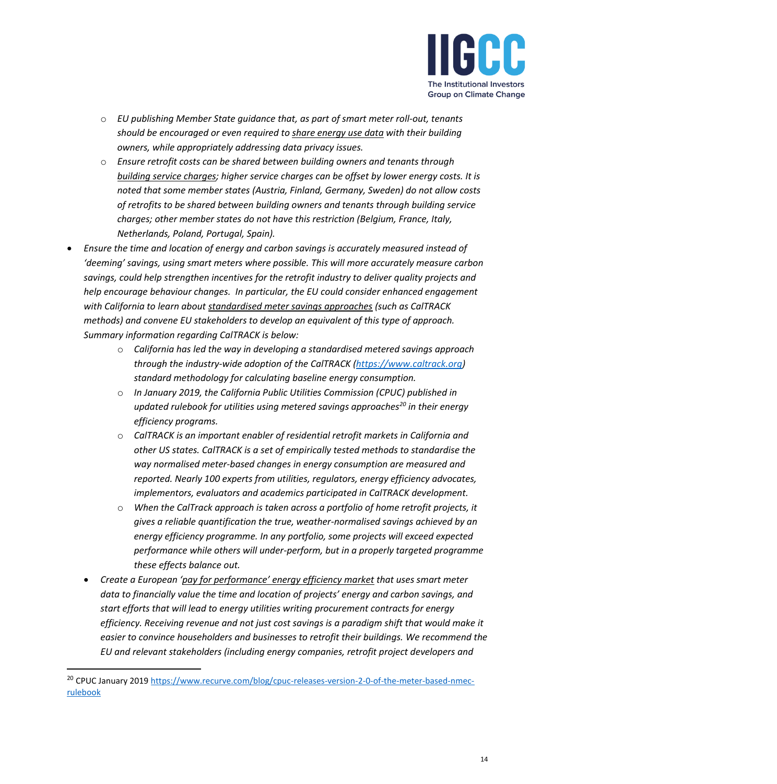

- o *EU publishing Member State guidance that, as part of smart meter roll-out, tenants should be encouraged or even required to share energy use data with their building owners, while appropriately addressing data privacy issues.*
- o *Ensure retrofit costs can be shared between building owners and tenants through building service charges; higher service charges can be offset by lower energy costs. It is noted that some member states (Austria, Finland, Germany, Sweden) do not allow costs of retrofits to be shared between building owners and tenants through building service charges; other member states do not have this restriction (Belgium, France, Italy, Netherlands, Poland, Portugal, Spain).*
- *Ensure the time and location of energy and carbon savings is accurately measured instead of 'deeming' savings, using smart meters where possible. This will more accurately measure carbon savings, could help strengthen incentives for the retrofit industry to deliver quality projects and help encourage behaviour changes. In particular, the EU could consider enhanced engagement with California to learn about standardised meter savings approaches (such as CalTRACK methods) and convene EU stakeholders to develop an equivalent of this type of approach. Summary information regarding CalTRACK is below:*
	- o *California has led the way in developing a standardised metered savings approach through the industry-wide adoption of the CalTRACK [\(https://www.caltrack.org\)](https://www.caltrack.org/) standard methodology for calculating baseline energy consumption.*
	- o *In January 2019, the California Public Utilities Commission (CPUC) published in updated rulebook for utilities using metered savings approaches<sup>20</sup> in their energy efficiency programs.*
	- o *CalTRACK is an important enabler of residential retrofit markets in California and other US states. CalTRACK is a set of empirically tested methods to standardise the way normalised meter-based changes in energy consumption are measured and reported. Nearly 100 experts from utilities, regulators, energy efficiency advocates, implementors, evaluators and academics participated in CalTRACK development.*
	- o *When the CalTrack approach is taken across a portfolio of home retrofit projects, it gives a reliable quantification the true, weather-normalised savings achieved by an energy efficiency programme. In any portfolio, some projects will exceed expected performance while others will under-perform, but in a properly targeted programme these effects balance out.*
	- *Create a European 'pay for performance' energy efficiency market that uses smart meter data to financially value the time and location of projects' energy and carbon savings, and start efforts that will lead to energy utilities writing procurement contracts for energy efficiency. Receiving revenue and not just cost savings is a paradigm shift that would make it easier to convince householders and businesses to retrofit their buildings. We recommend the EU and relevant stakeholders (including energy companies, retrofit project developers and*

<sup>&</sup>lt;sup>20</sup> CPUC January 2019 [https://www.recurve.com/blog/cpuc-releases-version-2-0-of-the-meter-based-nmec](https://www.recurve.com/blog/cpuc-releases-version-2-0-of-the-meter-based-nmec-rulebook)[rulebook](https://www.recurve.com/blog/cpuc-releases-version-2-0-of-the-meter-based-nmec-rulebook)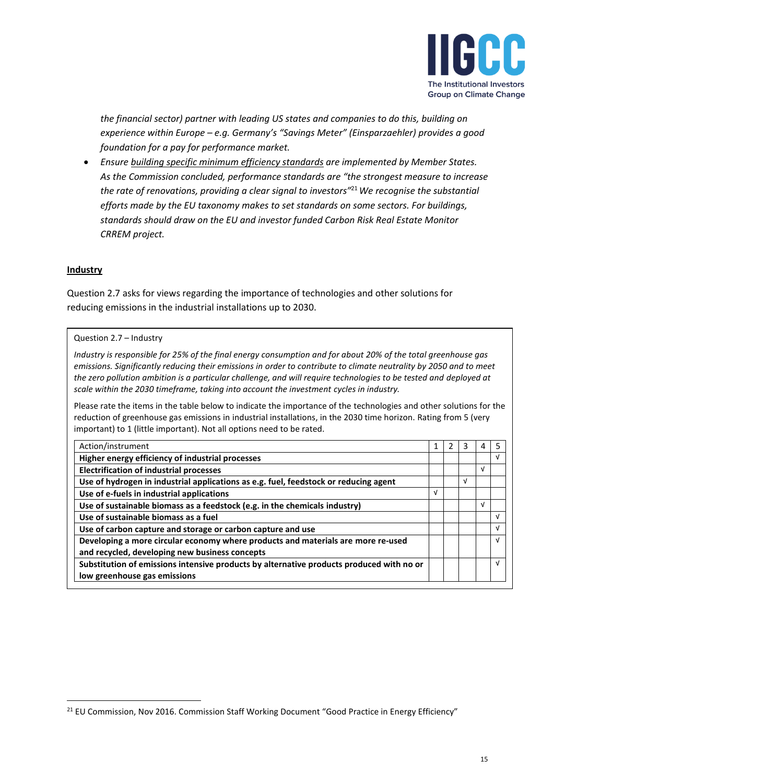

*the financial sector) partner with leading US states and companies to do this, building on experience within Europe – e.g. Germany's "Savings Meter" (Einsparzaehler) provides a good foundation for a pay for performance market.*

• *Ensure building specific minimum efficiency standards are implemented by Member States. As the Commission concluded, performance standards are "the strongest measure to increase the rate of renovations, providing a clear signal to investors"*<sup>21</sup>*We recognise the substantial efforts made by the EU taxonomy makes to set standards on some sectors. For buildings, standards should draw on the EU and investor funded Carbon Risk Real Estate Monitor CRREM project.* 

### **Industry**

Question 2.7 asks for views regarding the importance of technologies and other solutions for reducing emissions in the industrial installations up to 2030.

#### Question 2.7 – Industry

*Industry is responsible for 25% of the final energy consumption and for about 20% of the total greenhouse gas emissions. Significantly reducing their emissions in order to contribute to climate neutrality by 2050 and to meet the zero pollution ambition is a particular challenge, and will require technologies to be tested and deployed at scale within the 2030 timeframe, taking into account the investment cycles in industry.*

Please rate the items in the table below to indicate the importance of the technologies and other solutions for the reduction of greenhouse gas emissions in industrial installations, in the 2030 time horizon. Rating from 5 (very important) to 1 (little important). Not all options need to be rated.

| Action/instrument                                                                        |   | 3 | 4 | 5  |
|------------------------------------------------------------------------------------------|---|---|---|----|
| Higher energy efficiency of industrial processes                                         |   |   |   | V  |
| <b>Electrification of industrial processes</b>                                           |   |   | ν |    |
| Use of hydrogen in industrial applications as e.g. fuel, feedstock or reducing agent     |   | v |   |    |
| Use of e-fuels in industrial applications                                                | V |   |   |    |
| Use of sustainable biomass as a feedstock (e.g. in the chemicals industry)               |   |   | V |    |
| Use of sustainable biomass as a fuel                                                     |   |   |   | V  |
| Use of carbon capture and storage or carbon capture and use                              |   |   |   | V  |
| Developing a more circular economy where products and materials are more re-used         |   |   |   | νI |
| and recycled, developing new business concepts                                           |   |   |   |    |
| Substitution of emissions intensive products by alternative products produced with no or |   |   |   | νI |
| low greenhouse gas emissions                                                             |   |   |   |    |

<sup>&</sup>lt;sup>21</sup> EU Commission, Nov 2016. Commission Staff Working Document "Good Practice in Energy Efficiency"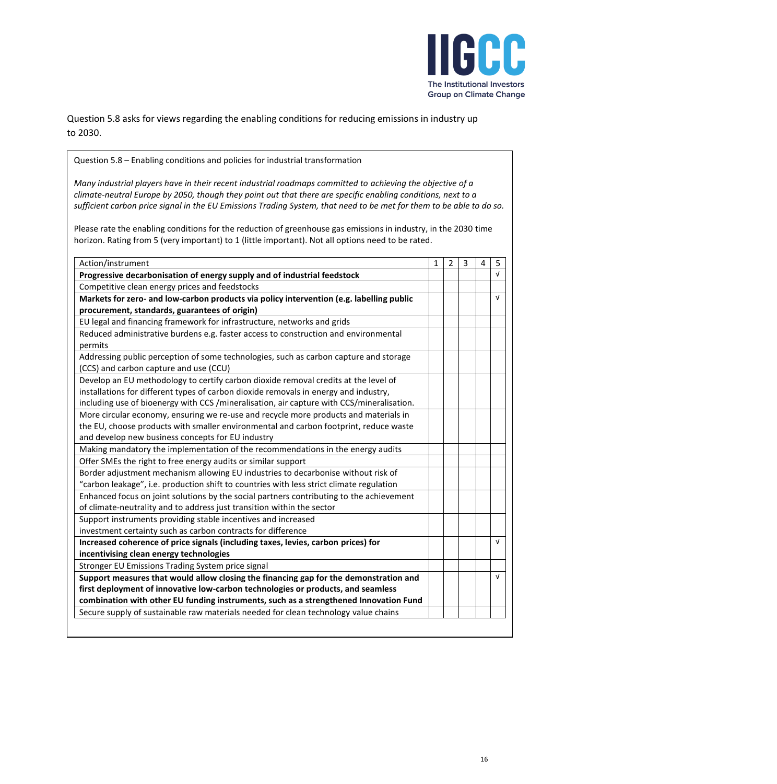

Question 5.8 asks for views regarding the enabling conditions for reducing emissions in industry up to 2030.

Question 5.8 – Enabling conditions and policies for industrial transformation

*Many industrial players have in their recent industrial roadmaps committed to achieving the objective of a climate-neutral Europe by 2050, though they point out that there are specific enabling conditions, next to a sufficient carbon price signal in the EU Emissions Trading System, that need to be met for them to be able to do so.*

Please rate the enabling conditions for the reduction of greenhouse gas emissions in industry, in the 2030 time horizon. Rating from 5 (very important) to 1 (little important). Not all options need to be rated.

| Action/instrument                                                                           | $\mathbf{1}$ | $\overline{2}$ | 3 | 4 | 5          |
|---------------------------------------------------------------------------------------------|--------------|----------------|---|---|------------|
| Progressive decarbonisation of energy supply and of industrial feedstock                    |              |                |   |   | $\sqrt{ }$ |
| Competitive clean energy prices and feedstocks                                              |              |                |   |   |            |
| Markets for zero- and low-carbon products via policy intervention (e.g. labelling public    |              |                |   |   | $\sqrt{ }$ |
| procurement, standards, guarantees of origin)                                               |              |                |   |   |            |
| EU legal and financing framework for infrastructure, networks and grids                     |              |                |   |   |            |
| Reduced administrative burdens e.g. faster access to construction and environmental         |              |                |   |   |            |
| permits                                                                                     |              |                |   |   |            |
| Addressing public perception of some technologies, such as carbon capture and storage       |              |                |   |   |            |
| (CCS) and carbon capture and use (CCU)                                                      |              |                |   |   |            |
| Develop an EU methodology to certify carbon dioxide removal credits at the level of         |              |                |   |   |            |
| installations for different types of carbon dioxide removals in energy and industry,        |              |                |   |   |            |
| including use of bioenergy with CCS / mineralisation, air capture with CCS/ mineralisation. |              |                |   |   |            |
| More circular economy, ensuring we re-use and recycle more products and materials in        |              |                |   |   |            |
| the EU, choose products with smaller environmental and carbon footprint, reduce waste       |              |                |   |   |            |
| and develop new business concepts for EU industry                                           |              |                |   |   |            |
| Making mandatory the implementation of the recommendations in the energy audits             |              |                |   |   |            |
| Offer SMEs the right to free energy audits or similar support                               |              |                |   |   |            |
| Border adjustment mechanism allowing EU industries to decarbonise without risk of           |              |                |   |   |            |
| "carbon leakage", i.e. production shift to countries with less strict climate regulation    |              |                |   |   |            |
| Enhanced focus on joint solutions by the social partners contributing to the achievement    |              |                |   |   |            |
| of climate-neutrality and to address just transition within the sector                      |              |                |   |   |            |
| Support instruments providing stable incentives and increased                               |              |                |   |   |            |
| investment certainty such as carbon contracts for difference                                |              |                |   |   |            |
| Increased coherence of price signals (including taxes, levies, carbon prices) for           |              |                |   |   | $\sqrt{ }$ |
| incentivising clean energy technologies                                                     |              |                |   |   |            |
| Stronger EU Emissions Trading System price signal                                           |              |                |   |   |            |
| Support measures that would allow closing the financing gap for the demonstration and       |              |                |   |   | $\sqrt{ }$ |
| first deployment of innovative low-carbon technologies or products, and seamless            |              |                |   |   |            |
| combination with other EU funding instruments, such as a strengthened Innovation Fund       |              |                |   |   |            |
| Secure supply of sustainable raw materials needed for clean technology value chains         |              |                |   |   |            |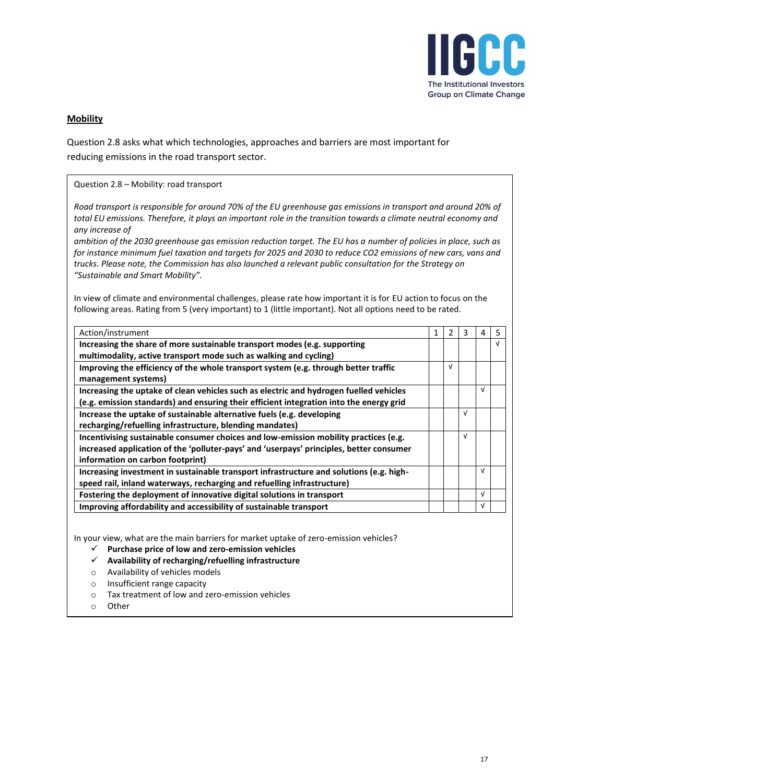

# **Mobility**

Question 2.8 asks what which technologies, approaches and barriers are most important for reducing emissions in the road transport sector.

| Question 2.8 - Mobility: road transport                                                                                                                                                                                                                                                                                                                                                                                                                                                                                                                                                                                                       |              |                |            |            |            |
|-----------------------------------------------------------------------------------------------------------------------------------------------------------------------------------------------------------------------------------------------------------------------------------------------------------------------------------------------------------------------------------------------------------------------------------------------------------------------------------------------------------------------------------------------------------------------------------------------------------------------------------------------|--------------|----------------|------------|------------|------------|
| Road transport is responsible for around 70% of the EU greenhouse gas emissions in transport and around 20% of<br>total EU emissions. Therefore, it plays an important role in the transition towards a climate neutral economy and<br>any increase of<br>ambition of the 2030 greenhouse gas emission reduction target. The EU has a number of policies in place, such as<br>for instance minimum fuel taxation and targets for 2025 and 2030 to reduce CO2 emissions of new cars, vans and<br>trucks. Please note, the Commission has also launched a relevant public consultation for the Strategy on<br>"Sustainable and Smart Mobility". |              |                |            |            |            |
| In view of climate and environmental challenges, please rate how important it is for EU action to focus on the                                                                                                                                                                                                                                                                                                                                                                                                                                                                                                                                |              |                |            |            |            |
| following areas. Rating from 5 (very important) to 1 (little important). Not all options need to be rated.                                                                                                                                                                                                                                                                                                                                                                                                                                                                                                                                    |              |                |            |            |            |
| Action/instrument                                                                                                                                                                                                                                                                                                                                                                                                                                                                                                                                                                                                                             | $\mathbf{1}$ | $\overline{2}$ | 3          | 4          | 5          |
| Increasing the share of more sustainable transport modes (e.g. supporting                                                                                                                                                                                                                                                                                                                                                                                                                                                                                                                                                                     |              |                |            |            | $\sqrt{ }$ |
| multimodality, active transport mode such as walking and cycling)                                                                                                                                                                                                                                                                                                                                                                                                                                                                                                                                                                             |              |                |            |            |            |
| Improving the efficiency of the whole transport system (e.g. through better traffic<br>management systems)                                                                                                                                                                                                                                                                                                                                                                                                                                                                                                                                    |              | $\sqrt{ }$     |            |            |            |
| Increasing the uptake of clean vehicles such as electric and hydrogen fuelled vehicles                                                                                                                                                                                                                                                                                                                                                                                                                                                                                                                                                        |              |                |            | $\sqrt{ }$ |            |
| (e.g. emission standards) and ensuring their efficient integration into the energy grid                                                                                                                                                                                                                                                                                                                                                                                                                                                                                                                                                       |              |                |            |            |            |
| Increase the uptake of sustainable alternative fuels (e.g. developing                                                                                                                                                                                                                                                                                                                                                                                                                                                                                                                                                                         |              |                | $\sqrt{ }$ |            |            |
| recharging/refuelling infrastructure, blending mandates)                                                                                                                                                                                                                                                                                                                                                                                                                                                                                                                                                                                      |              |                |            |            |            |
| Incentivising sustainable consumer choices and low-emission mobility practices (e.g.                                                                                                                                                                                                                                                                                                                                                                                                                                                                                                                                                          |              |                | $\sqrt{ }$ |            |            |
| increased application of the 'polluter-pays' and 'userpays' principles, better consumer                                                                                                                                                                                                                                                                                                                                                                                                                                                                                                                                                       |              |                |            |            |            |
| information on carbon footprint)                                                                                                                                                                                                                                                                                                                                                                                                                                                                                                                                                                                                              |              |                |            |            |            |
| Increasing investment in sustainable transport infrastructure and solutions (e.g. high-                                                                                                                                                                                                                                                                                                                                                                                                                                                                                                                                                       |              |                |            | $\sqrt{ }$ |            |
| speed rail, inland waterways, recharging and refuelling infrastructure)                                                                                                                                                                                                                                                                                                                                                                                                                                                                                                                                                                       |              |                |            |            |            |
| Fostering the deployment of innovative digital solutions in transport                                                                                                                                                                                                                                                                                                                                                                                                                                                                                                                                                                         |              |                |            | $\sqrt{ }$ |            |
| Improving affordability and accessibility of sustainable transport                                                                                                                                                                                                                                                                                                                                                                                                                                                                                                                                                                            |              |                |            | $\sqrt{ }$ |            |

In your view, what are the main barriers for market uptake of zero-emission vehicles?

- ✓ **Purchase price of low and zero-emission vehicles**
- ✓ **Availability of recharging/refuelling infrastructure**
- o Availability of vehicles models
- o Insufficient range capacity
- o Tax treatment of low and zero-emission vehicles
- o Other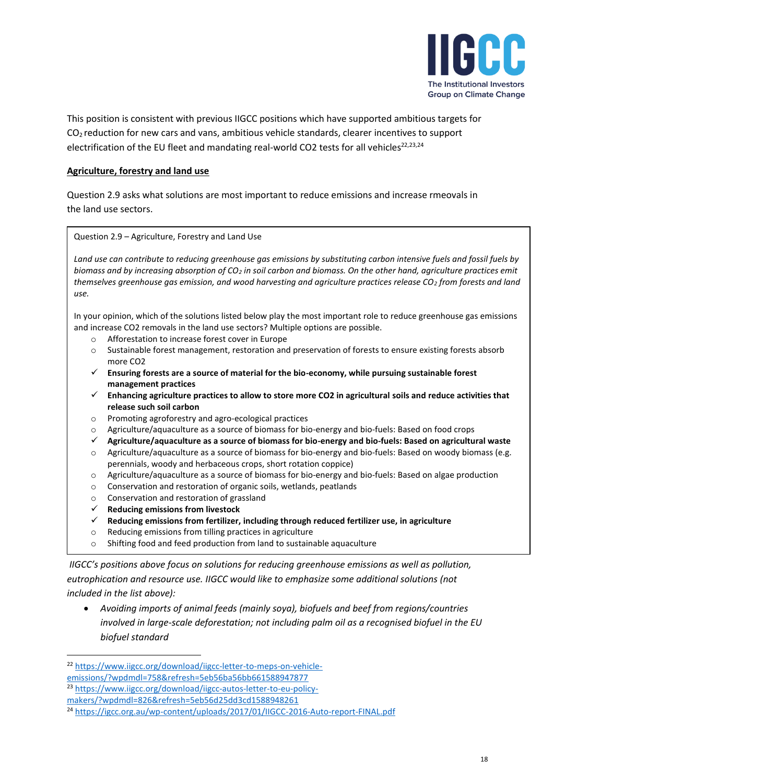

This position is consistent with previous IIGCC positions which have supported ambitious targets for  $CO<sub>2</sub>$  reduction for new cars and vans, ambitious vehicle standards, clearer incentives to support electrification of the EU fleet and mandating real-world CO2 tests for all vehicles<sup>22,23,24</sup>

## **Agriculture, forestry and land use**

Question 2.9 asks what solutions are most important to reduce emissions and increase rmeovals in the land use sectors.

Question 2.9 – Agriculture, Forestry and Land Use

*Land use can contribute to reducing greenhouse gas emissions by substituting carbon intensive fuels and fossil fuels by biomass and by increasing absorption of CO<sup>2</sup> in soil carbon and biomass. On the other hand, agriculture practices emit themselves greenhouse gas emission, and wood harvesting and agriculture practices release CO<sup>2</sup> from forests and land use.*

In your opinion, which of the solutions listed below play the most important role to reduce greenhouse gas emissions and increase CO2 removals in the land use sectors? Multiple options are possible.

- o Afforestation to increase forest cover in Europe
- o Sustainable forest management, restoration and preservation of forests to ensure existing forests absorb more CO2
- ✓ **Ensuring forests are a source of material for the bio-economy, while pursuing sustainable forest management practices**
- ✓ **Enhancing agriculture practices to allow to store more CO2 in agricultural soils and reduce activities that release such soil carbon**
- o Promoting agroforestry and agro-ecological practices
- o Agriculture/aquaculture as a source of biomass for bio-energy and bio-fuels: Based on food crops
- ✓ **Agriculture/aquaculture as a source of biomass for bio-energy and bio-fuels: Based on agricultural waste**
- o Agriculture/aquaculture as a source of biomass for bio-energy and bio-fuels: Based on woody biomass (e.g. perennials, woody and herbaceous crops, short rotation coppice)
- o Agriculture/aquaculture as a source of biomass for bio-energy and bio-fuels: Based on algae production
- o Conservation and restoration of organic soils, wetlands, peatlands
- o Conservation and restoration of grassland
- ✓ **Reducing emissions from livestock**
- ✓ **Reducing emissions from fertilizer, including through reduced fertilizer use, in agriculture**
- o Reducing emissions from tilling practices in agriculture
- o Shifting food and feed production from land to sustainable aquaculture

*IIGCC's positions above focus on solutions for reducing greenhouse emissions as well as pollution,*

*eutrophication and resource use. IIGCC would like to emphasize some additional solutions (not included in the list above):*

• *Avoiding imports of animal feeds (mainly soya), biofuels and beef from regions/countries involved in large-scale deforestation; not including palm oil as a recognised biofuel in the EU biofuel standard* 

<sup>22</sup> [https://www.iigcc.org/download/iigcc-letter-to-meps-on-vehicle](https://www.iigcc.org/download/iigcc-letter-to-meps-on-vehicle-emissions/?wpdmdl=758&refresh=5eb56ba56bb661588947877)[emissions/?wpdmdl=758&refresh=5eb56ba56bb661588947877](https://www.iigcc.org/download/iigcc-letter-to-meps-on-vehicle-emissions/?wpdmdl=758&refresh=5eb56ba56bb661588947877)

<sup>23</sup> [https://www.iigcc.org/download/iigcc-autos-letter-to-eu-policy-](https://www.iigcc.org/download/iigcc-autos-letter-to-eu-policy-makers/?wpdmdl=826&refresh=5eb56d25dd3cd1588948261)

[makers/?wpdmdl=826&refresh=5eb56d25dd3cd1588948261](https://www.iigcc.org/download/iigcc-autos-letter-to-eu-policy-makers/?wpdmdl=826&refresh=5eb56d25dd3cd1588948261)

<sup>24</sup> <https://igcc.org.au/wp-content/uploads/2017/01/IIGCC-2016-Auto-report-FINAL.pdf>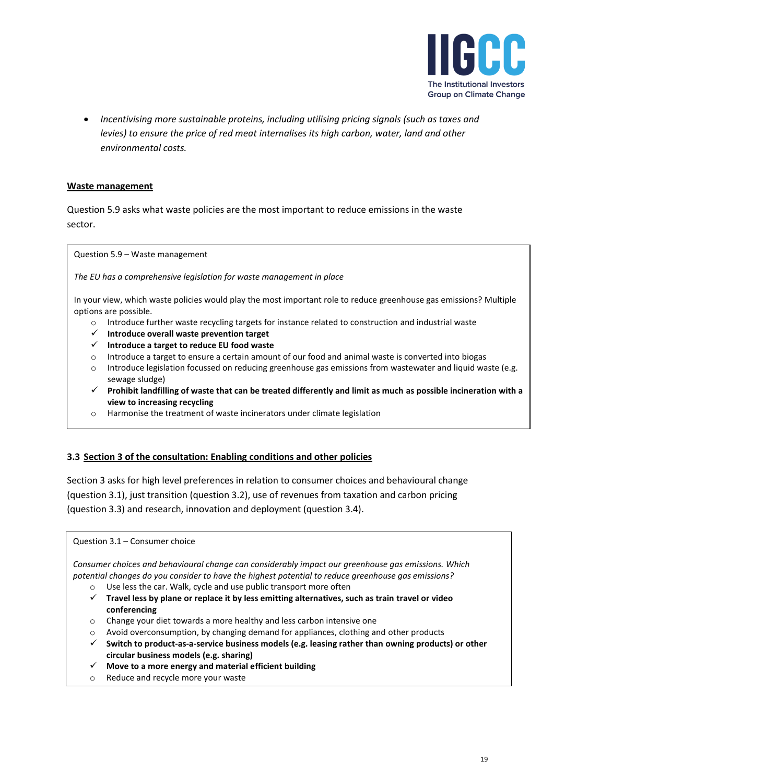

• *Incentivising more sustainable proteins, including utilising pricing signals (such as taxes and levies) to ensure the price of red meat internalises its high carbon, water, land and other environmental costs.* 

### **Waste management**

Question 5.9 asks what waste policies are the most important to reduce emissions in the waste sector.

Question 5.9 – Waste management

*The EU has a comprehensive legislation for waste management in place*

In your view, which waste policies would play the most important role to reduce greenhouse gas emissions? Multiple options are possible.

- o Introduce further waste recycling targets for instance related to construction and industrial waste
- ✓ **Introduce overall waste prevention target**
- ✓ **Introduce a target to reduce EU food waste**
- o Introduce a target to ensure a certain amount of our food and animal waste is converted into biogas
- o Introduce legislation focussed on reducing greenhouse gas emissions from wastewater and liquid waste (e.g. sewage sludge)
- ✓ **Prohibit landfilling of waste that can be treated differently and limit as much as possible incineration with a view to increasing recycling**
- o Harmonise the treatment of waste incinerators under climate legislation

## **3.3 Section 3 of the consultation: Enabling conditions and other policies**

Section 3 asks for high level preferences in relation to consumer choices and behavioural change (question 3.1), just transition (question 3.2), use of revenues from taxation and carbon pricing (question 3.3) and research, innovation and deployment (question 3.4).

### Question 3.1 – Consumer choice

*Consumer choices and behavioural change can considerably impact our greenhouse gas emissions. Which potential changes do you consider to have the highest potential to reduce greenhouse gas emissions?*

- o Use less the car. Walk, cycle and use public transport more often
- ✓ **Travel less by plane or replace it by less emitting alternatives, such as train travel or video conferencing**
- o Change your diet towards a more healthy and less carbon intensive one
- $\circ$  Avoid overconsumption, by changing demand for appliances, clothing and other products
- ✓ **Switch to product-as-a-service business models (e.g. leasing rather than owning products) or other circular business models (e.g. sharing)**
- ✓ **Move to a more energy and material efficient building**
- o Reduce and recycle more your waste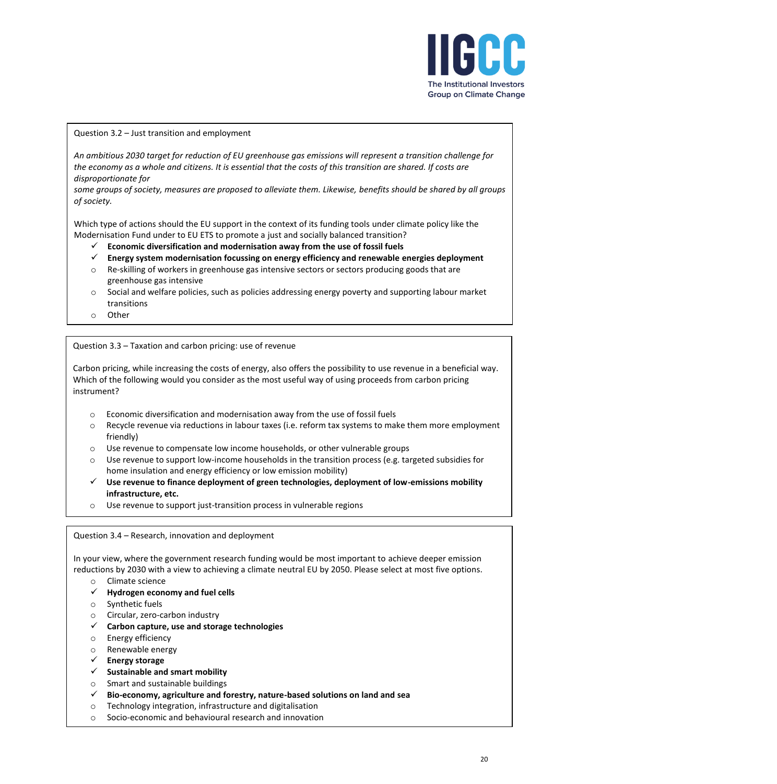

#### Question 3.2 – Just transition and employment

*An ambitious 2030 target for reduction of EU greenhouse gas emissions will represent a transition challenge for the economy as a whole and citizens. It is essential that the costs of this transition are shared. If costs are disproportionate for*

*some groups of society, measures are proposed to alleviate them. Likewise, benefits should be shared by all groups of society.*

Which type of actions should the EU support in the context of its funding tools under climate policy like the Modernisation Fund under to EU ETS to promote a just and socially balanced transition?

- ✓ **Economic diversification and modernisation away from the use of fossil fuels**
- ✓ **Energy system modernisation focussing on energy efficiency and renewable energies deployment**
- o Re-skilling of workers in greenhouse gas intensive sectors or sectors producing goods that are greenhouse gas intensive
- $\circ$  Social and welfare policies, such as policies addressing energy poverty and supporting labour market transitions
- o Other

Question 3.3 – Taxation and carbon pricing: use of revenue

Carbon pricing, while increasing the costs of energy, also offers the possibility to use revenue in a beneficial way. Which of the following would you consider as the most useful way of using proceeds from carbon pricing instrument?

- o Economic diversification and modernisation away from the use of fossil fuels
- o Recycle revenue via reductions in labour taxes (i.e. reform tax systems to make them more employment friendly)
- o Use revenue to compensate low income households, or other vulnerable groups
- o Use revenue to support low-income households in the transition process (e.g. targeted subsidies for home insulation and energy efficiency or low emission mobility)
- ✓ **Use revenue to finance deployment of green technologies, deployment of low-emissions mobility infrastructure, etc.**
- o Use revenue to support just-transition process in vulnerable regions

Question 3.4 – Research, innovation and deployment

In your view, where the government research funding would be most important to achieve deeper emission reductions by 2030 with a view to achieving a climate neutral EU by 2050. Please select at most five options.

- o Climate science
- ✓ **Hydrogen economy and fuel cells**
- o Synthetic fuels
- o Circular, zero-carbon industry
- ✓ **Carbon capture, use and storage technologies**
- o Energy efficiency
- o Renewable energy
- ✓ **Energy storage**
- ✓ **Sustainable and smart mobility**
- o Smart and sustainable buildings
- ✓ **Bio-economy, agriculture and forestry, nature-based solutions on land and sea**
- o Technology integration, infrastructure and digitalisation
- o Socio-economic and behavioural research and innovation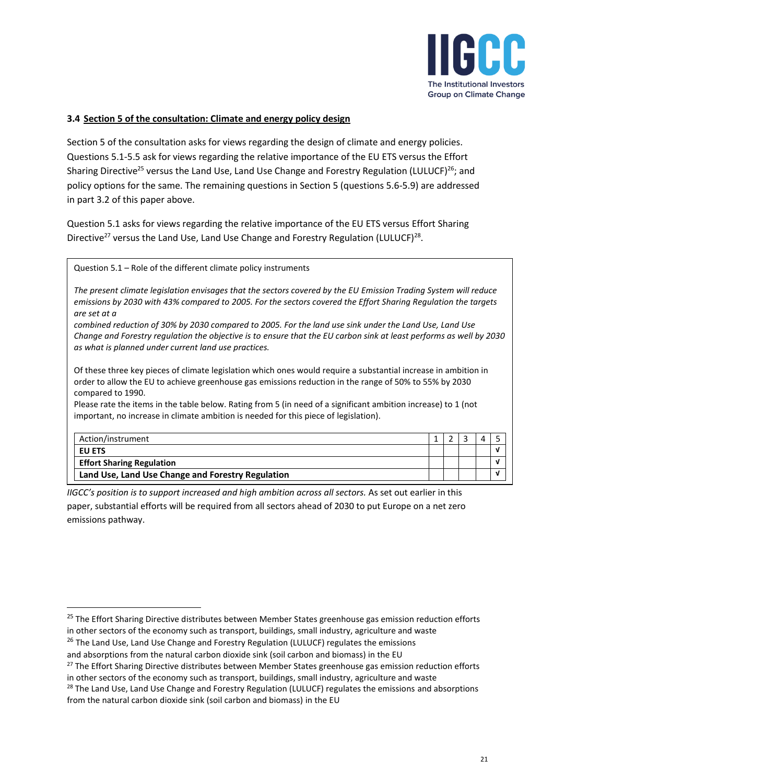

# **3.4 Section 5 of the consultation: Climate and energy policy design**

Section 5 of the consultation asks for views regarding the design of climate and energy policies. Questions 5.1-5.5 ask for views regarding the relative importance of the EU ETS versus the Effort Sharing Directive<sup>25</sup> versus the Land Use, Land Use Change and Forestry Regulation (LULUCF)<sup>26</sup>; and policy options for the same. The remaining questions in Section 5 (questions 5.6-5.9) are addressed in part 3.2 of this paper above.

Question 5.1 asks for views regarding the relative importance of the EU ETS versus Effort Sharing Directive<sup>27</sup> versus the Land Use, Land Use Change and Forestry Regulation (LULUCF)<sup>28</sup>.

Question 5.1 – Role of the different climate policy instruments

*The present climate legislation envisages that the sectors covered by the EU Emission Trading System will reduce emissions by 2030 with 43% compared to 2005. For the sectors covered the Effort Sharing Regulation the targets are set at a*

*combined reduction of 30% by 2030 compared to 2005. For the land use sink under the Land Use, Land Use Change and Forestry regulation the objective is to ensure that the EU carbon sink at least performs as well by 2030 as what is planned under current land use practices.*

Of these three key pieces of climate legislation which ones would require a substantial increase in ambition in order to allow the EU to achieve greenhouse gas emissions reduction in the range of 50% to 55% by 2030 compared to 1990.

Please rate the items in the table below. Rating from 5 (in need of a significant ambition increase) to 1 (not important, no increase in climate ambition is needed for this piece of legislation).

| Action/instrument                                 |  |  |  |
|---------------------------------------------------|--|--|--|
| <b>EU ETS</b>                                     |  |  |  |
| <b>Effort Sharing Regulation</b>                  |  |  |  |
| Land Use, Land Use Change and Forestry Regulation |  |  |  |

*IIGCC's position is to support increased and high ambition across all sectors.* As set out earlier in this

paper, substantial efforts will be required from all sectors ahead of 2030 to put Europe on a net zero emissions pathway.

<sup>&</sup>lt;sup>25</sup> The Effort Sharing Directive distributes between Member States greenhouse gas emission reduction efforts

in other sectors of the economy such as transport, buildings, small industry, agriculture and waste

<sup>&</sup>lt;sup>26</sup> The Land Use, Land Use Change and Forestry Regulation (LULUCF) regulates the emissions

and absorptions from the natural carbon dioxide sink (soil carbon and biomass) in the EU

<sup>&</sup>lt;sup>27</sup> The Effort Sharing Directive distributes between Member States greenhouse gas emission reduction efforts in other sectors of the economy such as transport, buildings, small industry, agriculture and waste

<sup>&</sup>lt;sup>28</sup> The Land Use, Land Use Change and Forestry Regulation (LULUCF) regulates the emissions and absorptions from the natural carbon dioxide sink (soil carbon and biomass) in the EU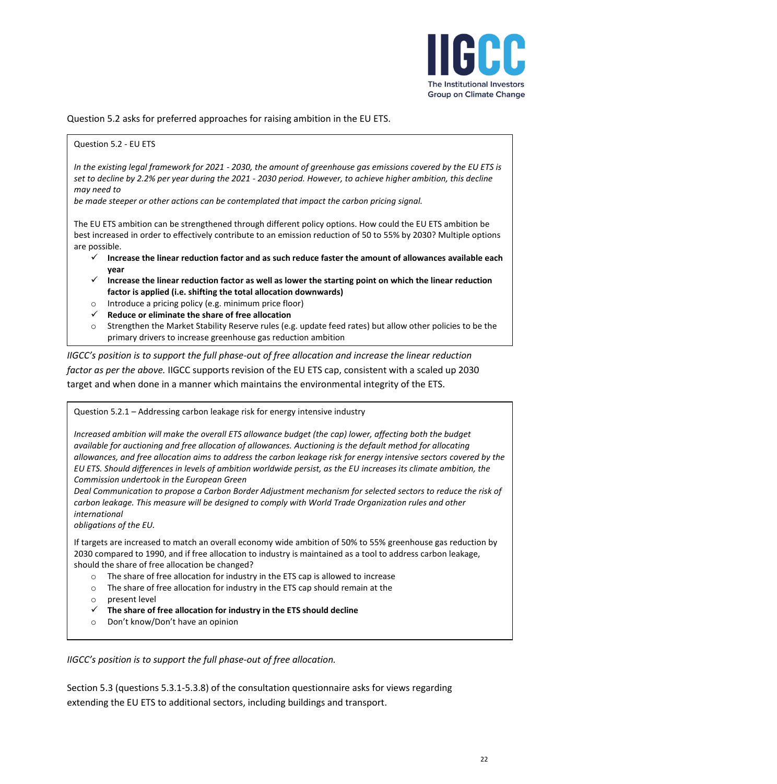

Question 5.2 asks for preferred approaches for raising ambition in the EU ETS.

#### Question 5.2 - EU ETS

*In the existing legal framework for 2021 - 2030, the amount of greenhouse gas emissions covered by the EU ETS is set to decline by 2.2% per year during the 2021 - 2030 period. However, to achieve higher ambition, this decline may need to*

*be made steeper or other actions can be contemplated that impact the carbon pricing signal.*

The EU ETS ambition can be strengthened through different policy options. How could the EU ETS ambition be best increased in order to effectively contribute to an emission reduction of 50 to 55% by 2030? Multiple options are possible.

- ✓ **Increase the linear reduction factor and as such reduce faster the amount of allowances available each year**
- ✓ **Increase the linear reduction factor as well as lower the starting point on which the linear reduction factor is applied (i.e. shifting the total allocation downwards)**
- o Introduce a pricing policy (e.g. minimum price floor)
- ✓ **Reduce or eliminate the share of free allocation**
- o Strengthen the Market Stability Reserve rules (e.g. update feed rates) but allow other policies to be the primary drivers to increase greenhouse gas reduction ambition

*IIGCC's position is to support the full phase-out of free allocation and increase the linear reduction factor as per the above.* IIGCC supports revision of the EU ETS cap, consistent with a scaled up 2030 target and when done in a manner which maintains the environmental integrity of the ETS.

Question 5.2.1 – Addressing carbon leakage risk for energy intensive industry

*Increased ambition will make the overall ETS allowance budget (the cap) lower, affecting both the budget available for auctioning and free allocation of allowances. Auctioning is the default method for allocating allowances, and free allocation aims to address the carbon leakage risk for energy intensive sectors covered by the EU ETS. Should differences in levels of ambition worldwide persist, as the EU increases its climate ambition, the Commission undertook in the European Green*

*Deal Communication to propose a Carbon Border Adjustment mechanism for selected sectors to reduce the risk of carbon leakage. This measure will be designed to comply with World Trade Organization rules and other international*

*obligations of the EU.*

If targets are increased to match an overall economy wide ambition of 50% to 55% greenhouse gas reduction by 2030 compared to 1990, and if free allocation to industry is maintained as a tool to address carbon leakage, should the share of free allocation be changed?

- o The share of free allocation for industry in the ETS cap is allowed to increase
- o The share of free allocation for industry in the ETS cap should remain at the
- o present level
- ✓ **The share of free allocation for industry in the ETS should decline**
- o Don't know/Don't have an opinion

*IIGCC's position is to support the full phase-out of free allocation.*

Section 5.3 (questions 5.3.1-5.3.8) of the consultation questionnaire asks for views regarding extending the EU ETS to additional sectors, including buildings and transport.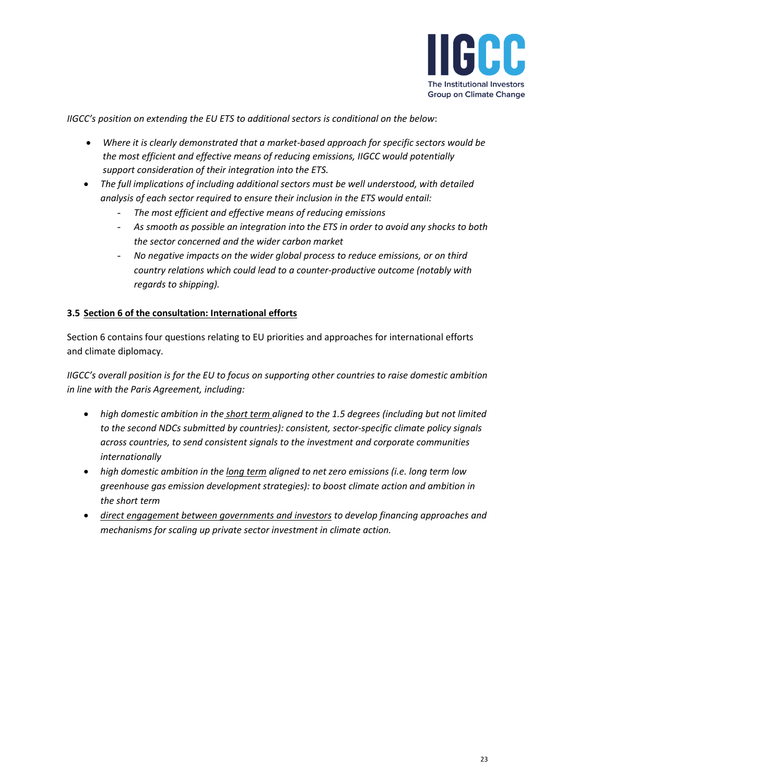

*IIGCC's position on extending the EU ETS to additional sectors is conditional on the below*:

- *Where it is clearly demonstrated that a market-based approach for specific sectors would be the most efficient and effective means of reducing emissions, IIGCC would potentially support consideration of their integration into the ETS.*
- *The full implications of including additional sectors must be well understood, with detailed analysis of each sector required to ensure their inclusion in the ETS would entail:*
	- *The most efficient and effective means of reducing emissions*
	- *As smooth as possible an integration into the ETS in order to avoid any shocks to both the sector concerned and the wider carbon market*
	- *No negative impacts on the wider global process to reduce emissions, or on third country relations which could lead to a counter-productive outcome (notably with regards to shipping).*

## **3.5 Section 6 of the consultation: International efforts**

Section 6 contains four questions relating to EU priorities and approaches for international efforts and climate diplomacy.

*IIGCC's overall position is for the EU to focus on supporting other countries to raise domestic ambition in line with the Paris Agreement, including:*

- *high domestic ambition in the short term aligned to the 1.5 degrees (including but not limited to the second NDCs submitted by countries): consistent, sector-specific climate policy signals across countries, to send consistent signals to the investment and corporate communities internationally*
- *high domestic ambition in the long term aligned to net zero emissions (i.e. long term low greenhouse gas emission development strategies): to boost climate action and ambition in the short term*
- *direct engagement between governments and investors to develop financing approaches and mechanisms for scaling up private sector investment in climate action.*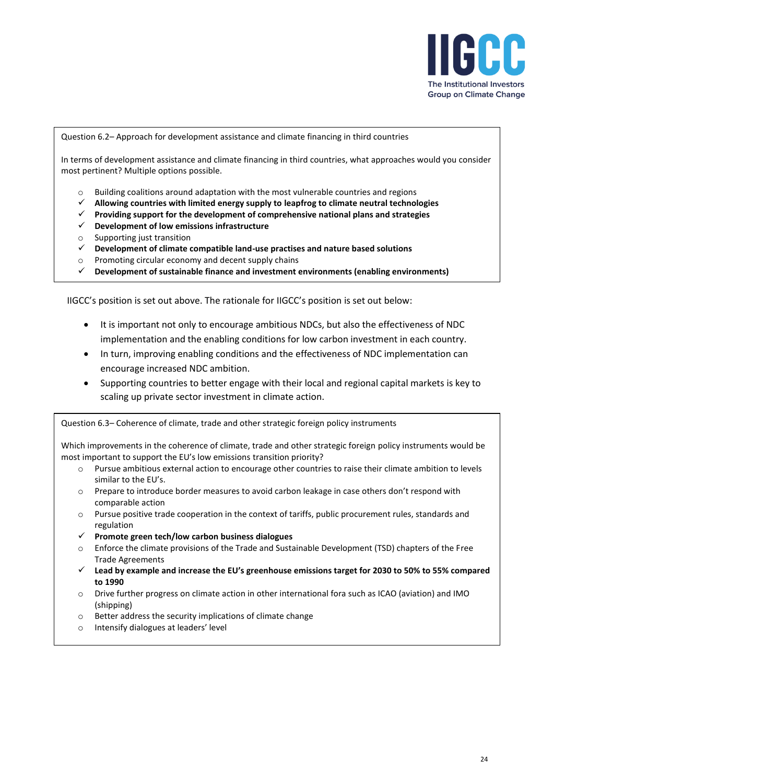

Question 6.2– Approach for development assistance and climate financing in third countries

In terms of development assistance and climate financing in third countries, what approaches would you consider most pertinent? Multiple options possible.

- $\circ$  Building coalitions around adaptation with the most vulnerable countries and regions
- ✓ **Allowing countries with limited energy supply to leapfrog to climate neutral technologies**
- ✓ **Providing support for the development of comprehensive national plans and strategies**
- ✓ **Development of low emissions infrastructure**
- o Supporting just transition
- ✓ **Development of climate compatible land-use practises and nature based solutions**
- o Promoting circular economy and decent supply chains
- ✓ **Development of sustainable finance and investment environments (enabling environments)**

IIGCC's position is set out above. The rationale for IIGCC's position is set out below:

- It is important not only to encourage ambitious NDCs, but also the effectiveness of NDC implementation and the enabling conditions for low carbon investment in each country.
- In turn, improving enabling conditions and the effectiveness of NDC implementation can encourage increased NDC ambition.
- Supporting countries to better engage with their local and regional capital markets is key to scaling up private sector investment in climate action.

Question 6.3– Coherence of climate, trade and other strategic foreign policy instruments

Which improvements in the coherence of climate, trade and other strategic foreign policy instruments would be most important to support the EU's low emissions transition priority?

- o Pursue ambitious external action to encourage other countries to raise their climate ambition to levels similar to the EU's.
- o Prepare to introduce border measures to avoid carbon leakage in case others don't respond with comparable action
- o Pursue positive trade cooperation in the context of tariffs, public procurement rules, standards and regulation
- ✓ **Promote green tech/low carbon business dialogues**
- $\circ$  Enforce the climate provisions of the Trade and Sustainable Development (TSD) chapters of the Free Trade Agreements
- ✓ **Lead by example and increase the EU's greenhouse emissions target for 2030 to 50% to 55% compared to 1990**
- o Drive further progress on climate action in other international fora such as ICAO (aviation) and IMO (shipping)
- o Better address the security implications of climate change
- o Intensify dialogues at leaders' level